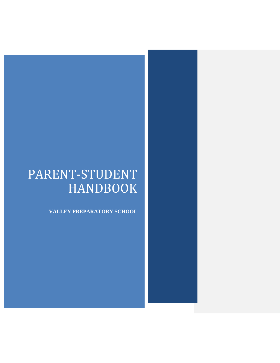# PARENT-STUDENT HANDBOOK

**VALLEY PREPARATORY SCHOOL**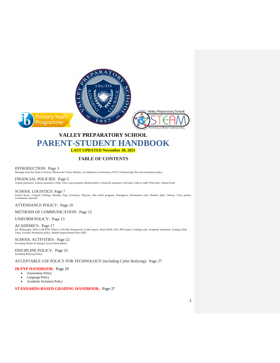

## **VALLEY PREPARATORY SCHOOL PARENT-STUDENT HANDBOOK LAST UPDATED November 30, 2021**

#### **TABLE OF CONTENTS**

INTRODUCTION: Page 3 Message from the Head of School; Mission & Vision; History; Accreditation; Governance; PTO; Volunteering; Non-discrimination policy

FINANCIAL POLICIES: Page 5 Tuition payments; Tuition insurance; Other costs; Late payment; Refund policy; Financial assistance; Ed loans; Gifts to staff; Wish lists, Annual Fund

SCHOOL LOGISTICS: Page 7 School hours; Carpool; Parking; Monday Flag Ceremony; Daycare; Hot lunch program; Emergency information card; Disaster plan; Library; Class parties; Community outreach

ATTENDANCE POLICY: Page 10

METHODS OF COMMUNICATION: Page 12

UNIFORM POLICY: Page 13

ACADEMICS: Page 17 Ed. Philosophy; What is IB-PYP; What is STEAM; Homework; Grade reports; Honor Roll; GPA; MS exams; Grading scale; Academic probation; Testing; Field<br>Trips; Awards; Promotion policy; Student Improvement Plan (SIP)

SCHOOL ACTIVITIES: Page 22 Including Winter & Spring Concert Participation

DISCIPLINE POLICY: Page 25 Including Bullying Policy

ACCEPTABLE USE POLICY FOR TECHNOLOGY (including Cyber Bullying): Page 27

#### **IB-PYP HANDBOOK**: Page 29

- Assessment Policy
- Language Policy
- Academic Inclusion Policy

**STANDARDS-BASED GRADING HANDBOOK:** Page 37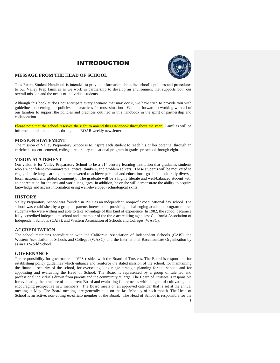## INTRODUCTION



#### **MESSAGE FROM THE HEAD OF SCHOOL**

This Parent Student Handbook is intended to provide information about the school's policies and procedures to our Valley Prep families as we work in partnership to develop an environment that supports both our overall mission and the needs of individual students.

Although this booklet does not anticipate every scenario that may occur, we have tried to provide you with guidelines concerning our policies and practices for most situations. We look forward to working with all of our families to support the policies and practices outlined in this handbook in the spirit of partnership and collaboration.

Please note that the school reserves the right to amend this Handbook throughout the year. Families will be informed of all amendments through the ROAR weekly newsletter.

#### **MISSION STATEMENT**

The mission of Valley Preparatory School is to inspire each student to reach his or her potential through an enriched, student-centered, college preparatory educational program in grades preschool through eight.

#### **VISION STATEMENT**

Our vision is for Valley Preparatory School to be a 21<sup>st</sup> century learning institution that graduates students who are confident communicators, critical thinkers, and problem solvers. These students will be motivated to engage in life-long learning and empowered to achieve personal and educational goals in a culturally diverse, local, national, and global community. The graduate will be a highly literate and well-balanced student with an appreciation for the arts and world languages. In addition, he or she will demonstrate the ability to acquire knowledge and access information using well-developed technological skills.

#### **HISTORY**

Valley Preparatory School was founded in 1957 as an independent, nonprofit coeducational day school. The school was established by a group of parents interested in providing a challenging academic program to area students who were willing and able to take advantage of this kind of experience. In 1982, the school became a fully accredited independent school and a member of the three accrediting agencies: California Association of Independent Schools, (CAIS), and Western Association of Schools and Colleges (WASC).

#### **ACCREDITATION**

The school maintains accreditation with the California Association of Independent Schools (CAIS), the Western Association of Schools and Colleges (WASC), and the International Baccalaureate Organization by as an IB World School.

#### **GOVERNANCE**

The responsibility for governance of VPS resides with the Board of Trustees. The Board is responsible for establishing policy guidelines which enhance and reinforce the stated mission of the school, for maintaining the financial security of the school, for overseeing long range strategic planning for the school, and for appointing and evaluating the Head of School. The Board is represented by a group of talented and professional individuals drawn from parents and the community at large. The Board of Trustees is responsible for evaluating the structure of the current Board and evaluating future needs with the goal of cultivating and encouraging prospective new members. The Board meets on an approved calendar that is set at the annual meeting in May. The Board meetings are generally held on the last Monday of each month. The Head of School is an active, non-voting ex-officio member of the Board. The Head of School is responsible for the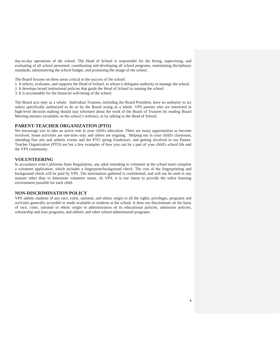day-to-day operations of the school. The Head of School is responsible for the hiring, supervising, and evaluating of all school personnel, coordinating and developing all school programs, maintaining disciplinary standards, administering the school budget, and promoting the image of the school.

The Board focuses on three areas critical to the success of the school:

1. It selects, evaluates, and supports the Head of School, to whom it delegates authority to manage the school.

2. It develops broad institutional policies that guide the Head of School in running the school.

3. It is accountable for the financial well-being of the school.

The Board acts only as a whole. Individual Trustees, including the Board President, have no authority to act unless specifically authorized to do so by the Board acting as a whole. VPS parents who are interested in high-level decision making should stay informed about the work of the Board of Trustees by reading Board Meeting minutes (available on the school's website), or by talking to the Head of School.

#### **PARENT-TEACHER ORGANIZATION (PTO)**

We encourage you to take an active role in your child's education. There are many opportunities to become involved. Some activities are one-time only and others are ongoing. Helping out in your child's classroom, attending fine arts and athletic events and the PTO spring Fundraiser, and getting involved in our Parent-Teacher Organization (PTO) are but a few examples of how you can be a part of your child's school life and the VPS community.

#### **VOLUNTEERING**

In accordance with California State Regulations, any adult intending to volunteer at the school must complete a volunteer application, which includes a fingerprint/background check. The cost of the fingerprinting and background check will be paid by VPS. The information gathered is confidential, and will not be used in any manner other than to determine volunteer status. At VPS, it is our intent to provide the safest learning environment possible for each child.

#### **NON-DISCRIMINATION POLICY**

VPS admits students of any race, color, national, and ethnic origin to all the rights, privileges, programs and activities generally accorded or made available to students at the school. It does not discriminate on the basis of race, color, national or ethnic origin in administration of its educational policies, admission policies, scholarship and loan programs, and athletic and other school-administered programs.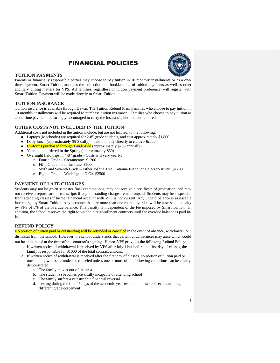## FINANCIAL POLICIES



#### **TUITION PAYMENTS**

Parents or financially responsible parties may choose to pay tuition in 10 monthly installments or as a onetime payment. Smart Tuition manages the collection and bookkeeping of tuition payments as well as other ancillary billing matters for VPS. All families, regardless of tuition payment preference, will register with Smart Tuition. Payment will be made directly to Smart Tuition.

#### **TUITION INSURANCE**

Tuition insurance is available through Dewar, The Tuition Refund Plan. Families who choose to pay tuition in 10 monthly installments will be required to purchase tuition insurance. Families who choose to pay tuition as a one-time payment are strongly encouraged to carry the insurance, but it is not required.

#### **OTHER COSTS NOT INCLUDED IN THE TUITION**

Additional costs not included in the tuition include, but are not limited, to the following:

- Laptops (Macbooks) are required for  $2-8<sup>th</sup>$  grade students, and cost approximately \$1,800
- Daily lunch (approximately \$5-8 daily) paid monthly directly to *Panera Bread*
- Uniforms purchased through *[Lands-End](https://www.landsend.com/shop/school-uniforms/-/N-g54)* (approximately \$250 annually)
- Yearbook ordered in the Spring (approximately \$50)
- Overnight field trips in  $4-8$ <sup>th</sup> grade Costs will vary yearly.
	- o Fourth Grade Sacramento: \$1200
	- o Fifth Grade Pali Institute: \$600
	- o Sixth and Seventh Grade Either Joshua Tree, Catalina Island, or Colorado River: \$1200
	- o Eighth Grade Washington D.C.: \$2500

#### **PAYMENT OF LATE CHARGES**

Students may not be given semester final examinations, may not receive a certificate of graduation, and may not receive a report card or transcripts if any outstanding charges remain unpaid. Students may be suspended from attending classes if his/her financial account with VPS is not current. Any unpaid balance is assessed a late charge by Smart Tuition. Any accounts that are more than one month overdue will be assessed a penalty by VPS of 5% of the overdue balance. This penalty is independent of the fee imposed by Smart Tuition. In addition, the school reserves the right to withhold re-enrollment contracts until the overdue balance is paid infull.

#### **REFUND POLICY**

No portion of tuition paid or outstanding will be refunded or canceled in the event of absence, withdrawal, or dismissal from the school. However, the school understands that certain circumstances may arise which could not be anticipated at the time of this contract's signing. Hence, VPS provides the following Refund Policy:

- 1. If written notice of withdrawal is received by VPS after July 1 but before the first day of classes, the
	- family is responsible for \$1000 of the total contract amount.
	- 2. If written notice of withdrawal is received after the first day of classes, no portion of tuition paid or outstanding will be refunded or canceled unless one or more of the following conditions can be clearly demonstrated:
		- a. The family moves-out of the area
		- b. The student(s) becomes physically incapable of attending school
		- c. The family suffers a catastrophic financial reversal
		- d. Testing during the first 45 days of the academic year results in the school recommending a different grade-placement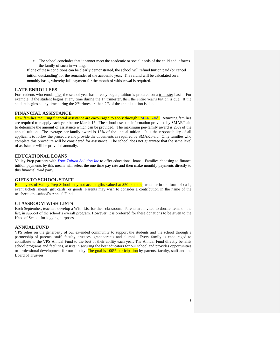e. The school concludes that it cannot meet the academic or social needs of the child and informs the family of such in-writing.

If one of these conditions can be clearly demonstrated, the school will refund tuition paid (or cancel tuition outstanding) for the remainder of the academic year. The refund will be calculated on a monthly basis, whereby full payment for the month of withdrawal is required.

#### **LATE ENROLLEES**

For students who enroll after the school-year has already begun, tuition is prorated on a trimester basis. For example, if the student begins at any time during the  $1<sup>st</sup>$  trimester, then the entire year's tuition is due. If the student begins at any time during the 2<sup>nd</sup> trimester, then 2/3 of the annual tuition is due.

#### **FINANCIAL ASSISTANCE**

New families requiring financial assistance are encouraged to apply through [SMART-aid.](https://www.valleyprepredlands.org/Tuition) Returning families are required to reapply each year before March 15. The school uses the information provided by SMART-aid to determine the amount of assistance which can be provided. The maximum per-family award is 25% of the annual tuition. The average per-family award is 15% of the annual tuition. It is the responsibility of all applicants to follow the procedure and provide the documents as required by SMART-aid. Only families who complete this procedure will be considered for assistance. The school does not guarantee that the same level of assistance will be provided annually.

#### **EDUCATIONAL LOANS**

Valley Prep partners with *[Your Tuition Solution Inc](https://www1.yourtuitionsolution.com/family)* to offer educational loans. Families choosing to finance tuition payments by this means will select the one time pay rate and then make monthly payments directly to this financial third party.

#### **GIFTS TO SCHOOL STAFF**

Employees of Valley Prep School may not accept gifts valued at \$50 or more, whether in the form of cash, event tickets, meals, gift cards, or goods. Parents may wish to consider a contribution in the name of the teacher to the school's Annual Fund.

#### **CLASSROOM WISH LISTS**

Each September, teachers develop a Wish List for their classroom. Parents are invited to donate items on the list, in support of the school's overall program. However, it is preferred for these donations to be given to the Head of School for logging purposes.

#### **ANNUAL FUND**

VPS relies on the generosity of our extended community to support the students and the school through a partnership of parents, staff, faculty, trustees, grandparents and alumni. Every family is encouraged to contribute to the VPS Annual Fund to the best of their ability each year. The Annual Fund directly benefits school programs and facilities, assists in securing the best educators for our school and provides opportunities or professional development for our faculty. The goal is 100% participation by parents, faculty, staff and the Board of Trustees.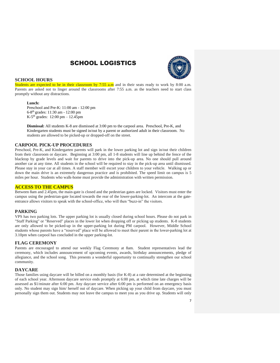## SCHOOL LOGISTICS



#### **SCHOOL HOURS**

Students are expected to be in their classroom by 7:55 a.m and in their seats ready to work by 8:00 a.m. Parents are asked not to linger around the classrooms after 7:55 a.m. as the teachers need to start class promptly without any distractions.

#### **Lunch:**

Preschool and Pre-K: 11:00 am - 12:00 pm 6-8 th grades: 11:30 am - 12:00 pm K-5<sup>th</sup> grades:  $12:00 \text{ pm} - 12.45 \text{ pm}$ 

**Dismissal:** All students K-8 are dismissed at 3:00 pm to the carpool area. Preschool, Pre-K, and Kindergarten students must be signed in/out by a parent or authorized adult in their classroom. No students are allowed to be picked-up or dropped-off on the street.

#### **CARPOOL PICK-UP PROCEDURES**

Preschool, Pre-K, and Kindergarten parents will park in the lower parking lot and sign in/out their children from their classroom or daycare.Beginning at 3:00 pm, all 1-8 students will line up behind the fence of the blacktop by grade levels and wait for parents to drive into the pick-up area. No one should pull around another car at any time. All students in the school will be required to stay in the pick-up area until dismissed. Please stay in your car at all times. A staff member will escort your children to your vehicle.Walking up or down the main drive is an extremely dangerous practice and is prohibited. The speed limit on campus is 5 miles per hour. Students who walk-home must provide the administration with written permission.

#### **ACCESS TO THE CAMPUS**

Between 8am and 2.45pm, the main-gate is closed and the pedestrian gates are locked. Visitors must enter the campus using the pedestrian-gate located towards the rear of the lower-parking-lot. An intercom at the gateentrance allows visitors to speak with the school-office, who will then "buzz-in" the visitors.

#### **PARKING**

VPS has two parking lots. The upper parking lot is usually closed during school hours. Please do not park in "Staff Parking" or "Reserved" places in the lower lot when dropping off or picking up students. K-8 students are only allowed to be picked-up in the upper-parking lot during PM carpool. However, Middle School students whose parents have a "reserved" place will be allowed to meet their parent in the lower-parking lot at 3.10pm when carpool has concluded in the upper parking-lot.

#### **FLAG CEREMONY**

Parents are encouraged to attend our weekly Flag Ceremony at 8am. Student representatives lead the ceremony, which includes announcement of upcoming events, awards, birthday announcements, pledge of allegiance, and the school song. This presents a wonderful opportunity to continually strengthen our school community.

#### **DAYCARE**

Those families using daycare will be billed on a monthly basis (for K-8) at a rate determined at the beginning of each school year. Afternoon daycare service ends promptly at 6:00 pm, at which time late charges will be assessed as \$1/minute after 6:00 pm. Any daycare service after 6:00 pm is performed on an emergency basis only. No student may sign him/ herself out of daycare. When picking up your child from daycare, you must personally sign them out. Students may not leave the campus to meet you as you drive up. Students will only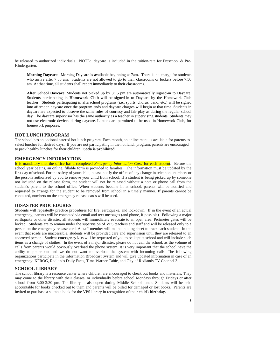be released to authorized individuals. NOTE: daycare is included in the tuition-rate for Preschool & Pre-Kindergarten.

**Morning Daycare**: Morning Daycare is available beginning at 7am. There is no charge for students who arrive after 7:30 am. Students are not allowed to go to their classrooms or lockers before 7:50 am. At that time, all students shall report immediately to their classrooms.

**After School Daycare**: Students not picked up by 3:15 pm are automatically signed-in to Daycare. Students participating in **Homework Club** will be signed-in to Daycare by the Homework Club teacher. Students participating in afterschool programs (i.e., sports, chorus, band, etc.) will be signed into afternoon daycare once the program ends and daycare charges will begin at that time. Students in daycare are expected to observe the same rules of courtesy and fair play as during the regular school day. The daycare supervisor has the same authority as a teacher in supervising students. Students may not use electronic devices during daycare. Laptops are permitted to be used in Homework Club, for homework purposes.

#### **HOT LUNCH PROGRAM**

The school has an optional catered hot lunch program. Each month, an online menu is available for parents to select lunches for desired days. If you are not participating in the hot lunch program, parents are encouraged to pack healthy lunches for their children. **Soda is prohibited.**

#### **EMERGENCY INFORMATION**

It is mandatory that the office has a completed *Emergency Information Card* for each student. Before the school year begins, an online, fillable form is provided to families. The information must be updated by the first day of school. For the safety of your child, please notify the office of any change in telephone numbers or the persons authorized by you to remove your child from school. If a student is being picked up by someone not included on the release form, the student will not be released without a note or phone call from the student's parent to the school office. When students become ill at school, parents will be notified and requested to arrange for the student to be removed from school in a timely manner. If parents cannot be contacted, numbers on the emergency release cards will be used.

#### **DISASTER PROCEDURES**

Students will repeatedly practice procedures for fire, earthquake, and lockdown. If in the event of an actual emergency, parents will be contacted via email and text messages (and phone, if possible). Following a major earthquake or other disaster, all students will immediately evacuate to an open area. Perimeter gates will be locked. Students are to remain under the supervision of VPS teachers and staff and will be released only to a person on the emergency release card. A staff member will maintain a log sheet to track each student. In the event that roads are inaccessible, students will be provided care and supervision until they are released to an approved person. Student **emergency kits** will be requested of you to be kept at school and will include such items as a change of clothes. In the event of a major disaster, please do not call the school, as the volume of calls from parents would obviously overload the phone system. It is very important that the school have the ability to phone out and we do not want to overload the system with incoming calls. The following organizations participate in the Information Broadcast System and will give updated information in case of an emergency: KFROG, Redlands Daily Facts, Time Warner Cable, and City of Redlands TV Channel 3.

#### **SCHOOL LIBRARY**

The school library is a resource center where children are encouraged to check out books and materials. They may come to the library with their classes, or individually before school Mondays through Fridays or after school from 3:00-3:30 pm. The library is also open during Middle School lunch. Students will be held accountable for books checked out to them and parents will be billed for damaged or lost books. Parents are invited to purchase a suitable book for the VPS library in recognition of their child's **birthday.**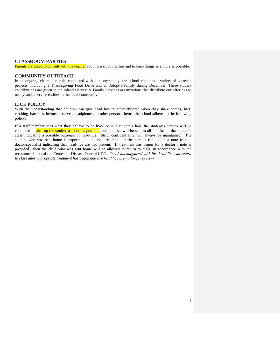#### **CLASSROOM PARTIES**

Parents are asked to consult with the teacher about classroom parties and to keep things as simple as possible.

#### **COMMUNITY OUTREACH**

In an ongoing effort to remain connected with our community, the school conducts a variety of outreach projects, including a Thanksgiving Food Drive and an Adopt-a-Family during December. These student contributions are given to the Inland Harvest & Family Services organizations that distribute our offerings to needy social service entities in the local community.

#### **LICE POLICY**

With the understanding that children can give head lice to other children when they share combs, hats, clothing, barrettes, helmets, scarves, headphones, or other personal items, the school adheres to the following policy:

If a staff member sees what they believe to be live-lice in a student's hair, the student's parents will be contacted to pick-up the student as-soon-as-possible, and a notice will be sent to all families in the student's class indicating a possible outbreak of head-lice. Strict confidentiality will always be maintained. The student who was sent-home is expected to undergo treatment, or the parents can obtain a note from a doctor/specialist indicating that head-lice are not present. If treatment has begun (or a doctor's note is provided), then the child who was sent home will be allowed to return to class, in accordance with the recommendation of the Center for Disease Control CDC: *"students diagnosed with live head lice can return to class after appropriate treatment has begun and live head lice are no longer present."*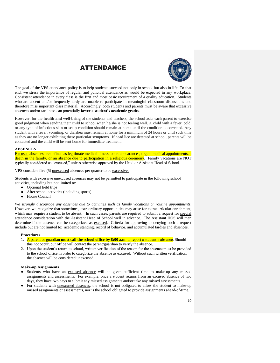## ATTENDANCE



The goal of the VPS attendance policy is to help students succeed not only in school but also in life. To that end, we stress the importance of regular and punctual attendance as would be expected in any workplace. Consistent attendance in every class is the first and most basic requirement of a quality education. Students who are absent and/or frequently tardy are unable to participate in meaningful classroom discussions and therefore miss important class material. Accordingly, both students and parents must be aware that excessive absences and/or tardiness can potentially **lower a student's academic grades**.

However, for the **health and well-being** of the students and teachers, the school asks each parent to exercise good judgment when sending their child to school when he/she is not feeling well. A child with a fever, cold, or any type of infectious skin or scalp condition should remain at home until the condition is corrected. Any student with a fever, vomiting, or diarrhea must remain at home for a minimum of 24 hours or until such time as they are no longer exhibiting these particular symptoms. If head lice are detected at school, parents will be contacted and the child will be sent home for immediate treatment.

#### **ABSENCES**

Excused absences are defined as legitimate medical illness, court appearances, urgent medical appointments, a death in the family, or an absence due to participation in a religious ceremony. Family vacations are NOT typically considered as "excused," unless otherwise approved by the Head or Assistant Head of School.

VPS considers five (5) unexcused absences per quarter to be excessive.

Students with excessive unexcused absences may not be permitted to participate in the following school activities, including but not limited to:

- Optional field trips
- After school activities (including sports)
- House Council

*We strongly discourage any absences due to activities such as family vacations or routine appointments*. However, we recognize that sometimes, extraordinary opportunities may arise for extracurricular enrichment, which may require a student to be absent. In such cases, parents are required to submit a request for special attendance consideration with the Assistant Head of School well in advance. The Assistant HOS will then determine if the absence can be categorized as excused. Criteria for approving or denying such a request include but are not limited to: academic standing, record of behavior, and accumulated tardies and absences.

#### **Procedures**

- 1. A parent or guardian **must call the school office by 8:00 a.m**. to report a student's absence. Should this not occur, our office will contact the parent/guardian to verify the absence.
- 2. Upon the student's return to school, written verification of the reason for the absence must be provided to the school office in order to categorize the absence as excused. Without such written verification, the absence will be considered unexcused.

#### **Make-up Assignments**

- Students who have an excused absence will be given sufficient time to make-up any missed assignments and assessments. For example, once a student returns from an excused absence of two days, they have two days to submit any missed assignments and/or take any missed assessments.
- For students with <u>unexcused absences</u>, the school is not obligated to allow the student to make-up missed assignments or assessments, nor is the school obligated to provide assignments ahead-of-time.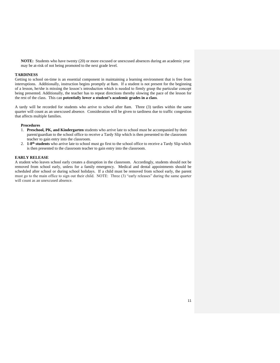**NOTE:** Students who have twenty (20) or more excused or unexcused absences during an academic year may be at-risk of not being promoted to the next grade level.

#### **TARDINESS**

Getting to school on-time is an essential component in maintaining a learning environment that is free from interruptions. Additionally, instruction begins promptly at 8am. If a student is not present for the beginning of a lesson, he/she is missing the lesson's introduction which is needed to firmly grasp the particular concept being presented. Additionally, the teacher has to repeat directions thereby slowing the pace of the lesson for the rest of the class. This can **potentially lower a student's academic grades in a class**.

A tardy will be recorded for students who arrive to school after 8am. Three (3) tardies within the same quarter will count as an unexcused absence. Consideration will be given to tardiness due to traffic congestion that affects multiple families.

#### **Procedures**

- 1. **Preschool, PK, and Kindergarten** students who arrive late to school must be accompanied by their parent/guardian to the school office to receive a Tardy Slip which is then presented to the classroom teacher to gain entry into the classroom.
- 2. **1-8 th students** who arrive late to school must go first to the school office to receive a Tardy Slip which is then presented to the classroom teacher to gain entry into the classroom.

#### **EARLY RELEASE**

A student who leaves school early creates a disruption in the classroom. Accordingly, students should not be removed from school early, unless for a family emergency. Medical and dental appointments should be scheduled after school or during school holidays. If a child must be removed from school early, the parent must go to the main office to sign out their child. NOTE: Three (3) "early releases" during the same quarter will count as an unexcused absence.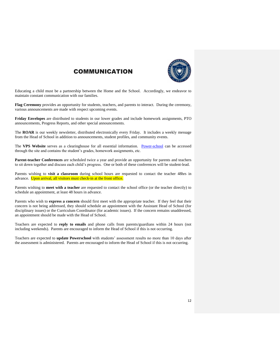

## COMMUNICATION

Educating a child must be a partnership between the Home and the School. Accordingly, we endeavor to maintain constant communication with our families.

**Flag Ceremony** provides an opportunity for students, teachers, and parents to interact. During the ceremony, various announcements are made with respect upcoming events.

**Friday Envelopes** are distributed to students in our lower grades and include homework assignments, PTO announcements, Progress Reports, and other special announcements.

The **ROAR** is our weekly newsletter, distributed electronically every Friday. It includes a weekly message from the Head of School in addition to announcements, student profiles, and community events.

The VPS Website serves as a clearinghouse for all essential information. [Power-school](https://www.powerschool.com/sign-in/) can be accessed through the site and contains the student's grades, homework assignments, etc.

**Parent-teacher Conferences** are scheduled twice a year and provide an opportunity for parents and teachers to sit down together and discuss each child's progress. One or both of these conferences will be student-lead.

Parents wishing to **visit a classroom** during school hours are requested to contact the teacher 48hrs in advance. Upon arrival, all visitors must check-in at the front office.

Parents wishing to **meet with a teacher** are requested to contact the school office (or the teacher directly) to schedule an appointment, at least 48 hours in advance.

Parents who wish to **express a concern** should first meet with the appropriate teacher. If they feel that their concern is not being addressed, they should schedule an appointment with the Assistant Head of School (for disciplinary issues) or the Curriculum Coordinator (for academic issues). If the concern remains unaddressed, an appointment should be made with the Head of School.

Teachers are expected to **reply to emails** and phone calls from parents/guardians within 24 hours (not including weekends). Parents are encouraged to inform the Head of School if this is not occurring.

Teachers are expected to **update Powerschool** with students' assessment results no more than 10 days after the assessment is administered. Parents are encouraged to inform the Head of School if this is not occurring.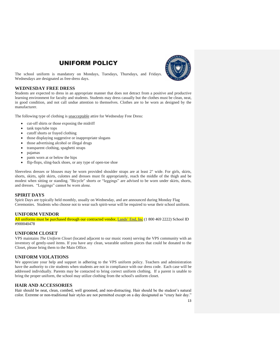## UNIFORM POLICY



The school uniform is mandatory on Mondays, Tuesdays, Thursdays, and Fridays. Wednesdays are designated as free-dress days.

#### **WEDNESDAY FREE DRESS**

Students are expected to dress in an appropriate manner that does not detract from a positive and productive learning environment for faculty and students. Students may dress casually but the clothes must be clean, neat, in good condition, and not call undue attention to themselves. Clothes are to be worn as designed by the manufacturer.

The following type of clothing is unacceptable attire for Wednesday Free Dress:

- cut-off shirts or those exposing the midriff
- tank tops/tube tops
- cutoff shorts or frayed clothing
- those displaying suggestive or inappropriate slogans
- those advertising alcohol or illegal drugs
- transparent clothing, spaghetti straps
- pajamas
- pants worn at or below the hips
- flip-flops, sling-back shoes, or any type of open-toe shoe

Sleeveless dresses or blouses may be worn provided shoulder straps are at least 2" wide. For girls, skirts, shorts, skirts, split skirts, culottes and dresses must fit appropriately, reach the middle of the thigh and be modest when sitting or standing. "Bicycle" shorts or "leggings" are advised to be worn under skirts, shorts, and dresses. "Leggings" cannot be worn alone.

#### **SPIRIT DAYS**

Spirit Days are typically held monthly, usually on Wednesday, and are announced during Monday Flag Ceremonies. Students who choose not to wear such spirit-wear will be required to wear their school uniform.

#### **UNIFORM VENDOR**

All uniforms must be purchased through our contracted vendor, [Lands' End, Inc](https://www.landsend.com/co/account/school-uniforms?cm_re=lec-_-uni-_-tab-_-hr1-1-1-_-shopbyschool-_-20180608-_-area) (1 800 469 2222) School ID #900040478

#### **UNIFORM CLOSET**

VPS maintains *The Uniform Closet* (located adjacent to our music room) serving the VPS community with an inventory of gently-used items. If you have any clean, wearable uniform pieces that could be donated to the Closet, please bring them to the Main Office.

#### **UNIFORM VIOLATIONS**

We appreciate your help and support in adhering to the VPS uniform policy. Teachers and administration have the authority to cite students when students are not in compliance with our dress code. Each case will be addressed individually. Parents may be contacted to bring correct uniform clothing. If a parent is unable to bring the proper uniform, the school may utilize clothing from the school's uniform closet.

#### **HAIR AND ACCESSORIES**

Hair should be neat, clean, combed, well groomed, and non-distracting. Hair should be the student's natural color. Extreme or non-traditional hair styles are not permitted except on a day designated as "crazy hair day."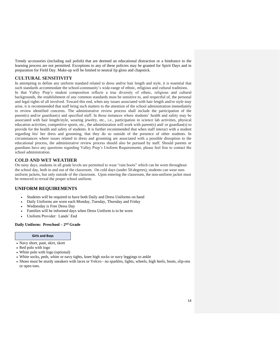Trendy accessories (including nail polish) that are deemed an educational distraction or a hindrance to the learning process are not permitted. Exceptions to any of these policies may be granted for Spirit Days and in preparation for Field Day. Make-up will be limited to neutral lip gloss and chapstick.

#### **CULTURAL SENSITIVITY**

In attempting to define any uniform standard related to dress and/or hair length and style, it is essential that such standards accommodate the school-community's wide-range of ethnic, religious and cultural traditions. In that Valley Prep's student composition reflects a true diversity of ethnic, religious and cultural backgrounds, the establishment of any common standards must be sensitive to, and respectful of, the personal and legal rights of all involved. Toward this end, when any issues associated with hair length and/or style may arise, it is recommended that staff bring such matters to the attention of the school administration immediately to review identified concerns. The administrative review process shall include the participation of the parent(s) and/or guardian(s) and specified staff. In those instances where students' health and safety may be associated with hair length/style, wearing jewelry, etc., i.e., participation in science lab activities, physical education activities, competitive sports, etc., the administration will work with parent(s) and/ or guardian(s) to provide for the health and safety of students. It is further recommended that when staff interact with a student regarding his/ her dress and grooming, that they do so outside of the presence of other students. In circumstances where issues related to dress and grooming are associated with a possible disruption to the educational process, the administrative review process should also be pursued by staff. Should parents or guardians have any questions regarding Valley Prep's Uniform Requirements, please feel free to contact the school administration.

#### **COLD AND WET WEATHER**

On rainy days, students in all grade levels are permitted to wear "rain boots" which can be worn throughout the school day, both in and out of the classroom. On cold days (under 50-degrees), students can wear nonuniform jackets, but only outside of the classroom. Upon entering the classroom, the non-uniform jacket must be removed to reveal the proper school uniform.

#### **UNIFORM REQUIREMENTS**

- Students will be required to have both Daily and Dress Uniforms on hand
- Daily Uniforms are worn each Monday, Tuesday, Thursday and Friday
- Wednesday is Free Dress Day
- Families will be informed days when Dress Uniform is to be worn
- Uniform Provider: Lands' End

#### **Daily Uniform: Preschool – 2 nd Grade**

#### **Girls and Boys**

- Navy short, pant, skirt, skort
- Red polo with logo
- White polo with logo (optional)
- White socks, peds, white or navy tights, knee high socks or navy leggings to ankle
- Shoes must be sturdy sneakers with laces or Velcro no sparkles, lights, wheels, high heels, boots, slip-ons or open toes.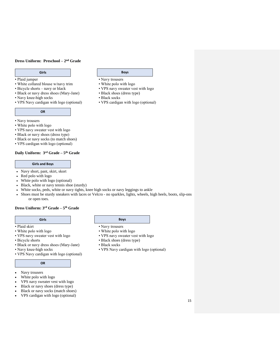#### **Dress Uniform: Preschool – 2 nd Grade**

- 
- Plaid jumper Navy trousers<br>• White collared blouse w/navy trim White polo with logo • White collared blouse w/navy trim<br>• Bicycle shorts – navy or black
- 
- Black or navy dress shoes (Mary-Jane) Black shoes (dress type) Navy knee-high socks
- 
- Navy knee-high socks Black socks Black socks VPS Navy cardigan with logo (optional) VPS cardigan with logo (optional) • VPS Navy cardigan with logo (optional)

#### **OR**

- Navy trousers
- White polo with logo
- VPS navy sweater vest with logo
- Black or navy shoes (dress type)
- Black or navy socks (to match shoes)
- VPS cardigan with logo (optional)

#### **Daily Uniform: 3rd Grade – 5 th Grade**

#### **Girls and Boys**

- Navy short, pant, skirt, skort
- Red polo with logo
- White polo with logo (optional)
- Black, white or navy tennis shoe (sturdy)
- White socks, peds, white or navy tights, knee high socks or navy leggings to ankle
- Shoes must be sturdy sneakers with laces or Velcro no sparkles, lights, wheels, high heels, boots, slip-ons or open toes.

#### **Dress Uniform: 3rd Grade – 5 th Grade**

#### **Girls Boys**

- Plaid skirt Navy trousers
- White polo with logo White polo with logo
- VPS navy sweater vest with logo VPS navy sweater vest with logo
- 
- Black or navy dress shoes (Mary-Jane)<br>• Navy knee-high socks
- 
- VPS Navy cardigan with logo (optional)

#### **OR**

- Navy trousers
- White polo with logo
- VPS navy sweater vest with logo
- Black or navy shoes (dress type)
- Black or navy socks (match shoes)
- VPS cardigan with logo (optional)

### **Girls Boys**

- 
- 
- VPS navy sweater vest with logo
	-
	-

- 
- 
- Bicycle shorts Black shoes (dress type)
	- **Black socks**
	- VPS Navy cardigan with logo (optional)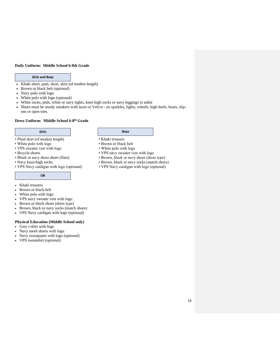#### **Daily Uniform: Middle School 6-8th Grade**

#### **Girls and Boys**

- Khaki short, pant, skort, skirt (of modest length)
- Brown or black belt (optional)
- Navy polo with logo
- White polo with logo (optional)
- White socks, peds, white or navy tights, knee high socks or navy leggings to ankle
- Shoes must be sturdy sneakers with laces or Velcro no sparkles, lights, wheels, high heels, boots, slipons or open toes.

#### **Dress Uniform: Middle School 6-8 th Grade**

- Plaid skirt (of modest length) Khaki trousers
- 
- White polo with logo Brown or black belt<br>• VPS sweater vest with logo White polo with logo • VPS sweater vest with logo
- 
- 
- 
- VPS Navy cardigan with logo (optional) VPS Navy cardigan with logo (optional)

#### **OR**

- Khaki trousers
- Brown or black belt
- White polo with logo
- VPS navy sweater vest with logo
- Brown or black shoes (dress type)
- Brown, black or navy socks (match shoes)
- VPS Navy cardigan with logo (optional)

#### **Physical Education (Middle School only)**

- Grey t-shirt with logo
- Navy mesh shorts with logo
- Navy sweatpants with logo (optional)
- VPS sweatshirt (optional)

#### **Girls Boys**

- 
- 
- 
- Bicycle shorts VPS navy sweater vest with logo Black or navy dress shoes (flats) Brown, black or navy shoes (dres
	- Brown, black or navy shoes (dress type)
- Navy knee-high socks Brown, black or navy socks (match shoes)
	-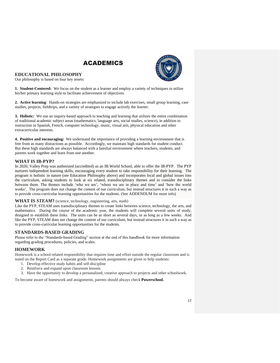



#### **EDUCATIONAL PHILOSOPHY**

Our philosophy is based on four key tenets:

**1. Student-Centered:** We focus on the student as a learner and employ a variety of techniques to utilize his/her primary learning style to facilitate achievement of objectives.

**2. Active learning**: Hands-on strategies are emphasized to include lab exercises, small group learning, case studies, projects, fieldtrips, and a variety of strategies to engage actively the learner.

**3. Holistic:** We use an inquiry-based approach to teaching and learning that utilizes the entire combination of traditional academic subject areas (mathematics, language arts, social studies, science), in addition to instruction in Spanish, French, computer technology, music, visual arts, physical education and other extracurricular interests.

**4. Positive and encouraging:** We understand the importance of providing a learning environment that is free from as many distractions as possible. Accordingly, we maintain high standards for student conduct. But these high standards are always balanced with a familial environment where teachers, students, and parents work together and learn from one another.

#### **WHAT IS IB-PYP?**

In 2020, Valley Prep was authorized (accredited) as an IB World School, able to offer the IB-PYP. The PYP nurtures independent learning skills, encouraging every student to take responsibility for their learning. The program is holistic in nature (see Education Philosophy above) and incorporates local and global issues into the curriculum, asking students to look at six related, transdisciplinary themes and to consider the links between them. The themes include 'who we are', 'where we are in place and time' and 'how the world works'. The program does not change the content of our curriculum, but instead structures it in such a way as to provide cross-curricular learning opportunities for the students. (See ADDENDUM for more info)

#### **WHAT IS** *STEAM***?** (science, technology, engineering, arts, math)

Like the PYP, STEAM uses transdisciplinary themes to create links between science, technology, the arts, and mathematics. During the course of the academic year, the students will complete several units of study, designed to establish these links. The units can be as short as several days, or as long as a few weeks. And like the PYP, STEAM does not change the content of our curriculum, but instead structures it in such a way as to provide cross-curricular learning opportunities for the students.

#### **STANDARDS-BASED GRADING**

Please refer to the "Standards-based Grading" section at the end of this handbook for more information regarding grading procedures, policies, and scales.

#### **HOMEWORK**

Homework is a school-related responsibility that requires time and effort outside the regular classroom and is noted on the Report Card as a separate grade. Homework assignments are given to help students:

- 1. Develop effective study habits and self-discipline
- 2. Reinforce and expand upon classroom lessons
- 3. Have the opportunity to develop a personalized, creative approach to projects and other schoolwork.

To become aware of homework and assignments, parents should always check **Powerschool.**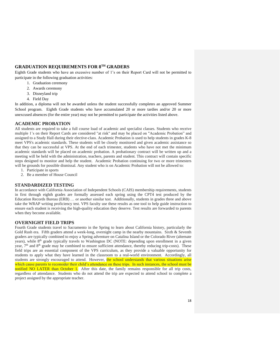### **GRADUATION REQUIREMENTS FOR 8TH GRADERS**

Eighth Grade students who have an excessive number of 1's on their Report Card will not be permitted to participate in the following graduation activities:

- 1. Graduation ceremony
- 2. Awards ceremony
- 3. Disneyland trip
- 4. Field Day

In addition, a diploma will not be awarded unless the student successfully completes an approved Summer School program. Eighth Grade students who have accumulated 20 or more tardies and/or 20 or more unexcused absences (for the entire year) may not be permitted to participate the activities listed above.

#### **ACADEMIC PROBATION**

All students are required to take a full course load of academic and specialist classes. Students who receive multiple 1's on their Report Cards are considered "at risk" and may be placed on "Academic Probation" and assigned to a Study Hall during their elective-class. Academic Probation is used to help students in grades K-8 meet VPS's academic standards. These students will be closely monitored and given academic assistance so that they can be successful at VPS. At the end of each trimester, students who have not met the minimum academic standards will be placed on academic probation. A probationary contract will be written up and a meeting will be held with the administration, teachers, parents and student. This contract will contain specific steps designed to monitor and help the student. Academic Probation continuing for two or more trimesters will be grounds for possible dismissal. Any student who is on Academic Probation will not be allowed to:

- 1. Participate in sports
- 2. Be a member of House Council

#### **STANDARDIZED TESTING**

In accordance with California Association of Independent Schools (CAIS) membership requirements, students in first through eighth grades are formally assessed each spring using the CPT4 test produced by the Education Records Bureau (ERB) … or another similar test. Additionally, students in grades three and above take the WRAP writing proficiency test. VPS faculty use these results as one tool to help guide instruction to ensure each student is receiving the high-quality education they deserve. Test results are forwarded to parents when they become available.

#### **OVERNIGHT FIELD TRIPS**

Fourth Grade students travel to Sacramento in the Spring to learn about California history, particularly the Gold Rush era. Fifth graders attend a week-long, overnight camp in the nearby mountains. Sixth & Seventh graders are typically combined to enjoy a Spring adventure on Catalina Island or the Colorado River (alternate years), while 8<sup>th</sup> grade typically travels to Washington DC (NOTE: depending upon enrollment in a given year,  $7<sup>th</sup>$  and  $8<sup>th</sup>$  grade may be combined to ensure sufficient attendance, thereby reducing trip-costs). These field trips are an essential component of the VPS curriculum, as they provide a valuable opportunity for students to apply what they have learned in the classroom to a real-world environment. Accordingly, all students are strongly encouraged to attend. However, the school understands that various situations arise which cause parents to reconsider their child's attendance on these trips. In such instances, the school must be notified NO LATER than October 1. After this date, the family remains responsible for all trip costs, regardless of attendance. Students who do not attend the trip are expected to attend school to complete a project assigned by the appropriate teacher.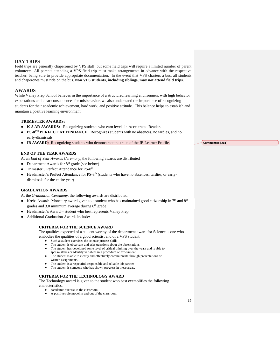#### **DAY TRIPS**

Field trips are generally chaperoned by VPS staff, but some field trips will require a limited number of parent volunteers. All parents attending a VPS field trip must make arrangements in advance with the respective teacher, being sure to provide appropriate documentation. In the event that VPS charters a bus, all students and chaperones must ride on the bus. **Non VPS students, including siblings, may not attend field trips.**

#### **AWARDS**

While Valley Prep School believes in the importance of a structured learning environment with high behavior expectations and clear consequences for misbehavior, we also understand the importance of recognizing students for their academic achievement, hard work, and positive attitude. This balance helps to establish and maintain a positive learning environment.

#### **TRIMESTER AWARDS:**

- **K-8 AR AWARDS:** Recognizing students who earn levels in Accelerated Reader.
- **PS-8<sup>TH</sup> PERFECT ATTENDANCE:** Recognizes students with no absences, no tardies, and no early-dismissals.
- **IB AWARD:** Recognizing students who demonstrate the traits of the IB Learner Profile.

#### **END OF THE YEAR AWARDS**

At an *End of Year Awards Ceremony*, the following awards are distributed

- Department Awards for  $8<sup>th</sup>$  grade (see below)
- Trimester 3 Perfect Attendance for PS-8<sup>th</sup>
- Headmaster's Perfect Attendance for PS-8<sup>th</sup> (students who have no absences, tardies, or earlydismissals for the entire year)

#### **GRADUATION AWARDS**

At the *Graduation Ceremony*, the following awards are distributed:

- Krebs Award: Monetary award given to a student who has maintained good citizenship in  $7<sup>th</sup>$  and  $8<sup>th</sup>$ grades and 3.0 minimum average during 8<sup>th</sup> grade
- Headmaster's Award student who best represents Valley Prep
- Additional Graduation Awards include:

#### **CRITERIA FOR THE SCIENCE AWARD**

The qualities expected of a student worthy of the department award for Science is one who

embodies the qualities of a good scientist and of a VPS student.

- Such a student exercises the science process skills
- The student is observant and asks questions about the observations.
- The student has developed some level of critical thinking over the years and is able to spot mistakes or identify variables in a procedure or experiment.
- The student is able to clearly and effectively communicate through presentations or
- written assignments. The student is a respectful, responsible and reliable lab partner
- The student is someone who has shown progress in these areas.
- 

#### **CRITERIA FOR THE TECHNOLOGY AWARD**

The Technology award is given to the student who best exemplifies the following characteristics:

- Academic success in the classroom
- A positive role model in and out of the classroom

**Commented [JB1]:**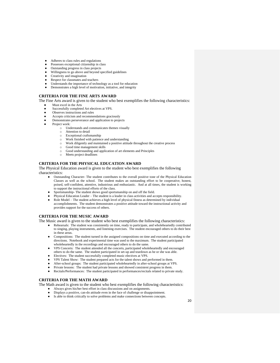- Adheres to class rules and regulations
- Possesses exceptional citizenship in class
- Outstanding progress in class projects
- Willingness to go above and beyond specified guidelines
- Creativity and imagination
- Respect for classmates and teachers
- Understands the importance of technology as a tool for education
- Demonstrates a high level of motivation, initiative, and integrity

#### **CRITERIA FOR THE FINE ARTS AWARD**

The Fine Arts award is given to the student who best exemplifies the following characteristics:

- Must excel in the Arts
- Successfully completed Art electives at VPS.
- Observes instructions and rules
- Accepts criticism and recommendations graciously
- Demonstrates perseverance and application to projects
- Project work:
	- o Understands and communicates themes visually
	- o Attention to detail
	- o Exceptional craftsmanship
	- o Work finished with patience and understanding
	- o Work diligently and maintained a positive attitude throughout the creative process
	- o Good time management skills
	- o Good understanding and application of art elements and Principles
	- o Meets project deadlines

#### **CRITERIA FOR THE PHYSICAL EDUCATION AWARD**

The Physical Education award is given to the student who best exemplifies the following characteristics:

- Outstanding Character- The student contributes to the overall positive tone of the Physical Education Classes as well as the school. The student makes an outstanding effort to be cooperative, honest, poised, self-confident, attentive, industrious and enthusiastic. And at all times, the student is working to support the instructional efforts of the class.
- Sportsmanship- The student shows good sportsmanship on and off the field.
- Physical Education Leader The student is a leader in class activities and accepts responsibility.
- Role Model The student achieves a high level of physical fitness as determined by individual accomplishments. The student demonstrates a positive attitude toward the instructional activity and provides support for the success of others.

#### **CRITERIA FOR THE MUSIC AWARD**

The Music award is given to the student who best exemplifies the following characteristics:

- Rehearsals: The student was consistently on time, ready to participate, and wholeheartedly contributed to singing, playing instruments, and listening exercises. The student encouraged others to do their best in these areas.
- Compositions: The student turned in the assigned compositions on time and executed according to the directions. Notebook and experimental time was used to the maximum. The student participated wholeheartedly in the recordings and encouraged others to do the same.
- VPS Concerts: The student attended all the concerts, participated wholeheartedly and encouraged others to do the same. The student participated in set-up and teardown as he or she was able.
- Electives: The student successfully completed music electives at VPS.
- VPS Talent Show: The student prepared acts for the talent shows and performed in them.
- After-school groups: The student participated wholeheartedly in after-school groups at VPS.
- Private lessons: The student had private lessons and showed consistent progress in them.
- Recitals/Performances: The student participated in performances/recitals related to private study.

#### **CRITERIA FOR THE MATH AWARD**

The Math award is given to the student who best exemplifies the following characteristics:

- Always gives his/her best effort in class discussions and on assignments.
- Displays a positive, can-do attitude even in the face of challenge or disappointment.
- Is able to think critically to solve problems and make connections between concepts.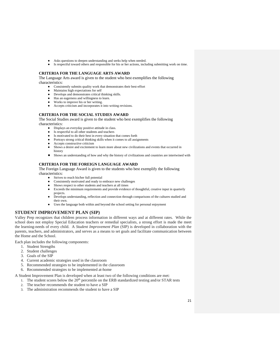- Asks questions to deepen understanding and seeks help when needed.
- Is respectful toward others and responsible for his or her actions, including submitting work on time.

#### **CRITERIA FOR THE LANGUAGE ARTS AWARD**

The Language Arts award is given to the student who best exemplifies the following characteristics:

- Consistently submits quality work that demonstrates their best-effort
- Maintains high expectations for self
- Develops and demonstrates critical thinking skills.
- Has an eagerness and willingness to learn.
- Works to improve his or her writing.
- Accepts criticism and incorporates it into writing revisions.

#### **CRITERIA FOR THE SOCIAL STUDIES AWARD**

The Social Studies award is given to the student who best exemplifies the following characteristics:

- Displays an everyday positive attitude in class.
- Is respectful to all other students and teachers
- Is motivated to do their best in every situation that comes forth
- Portrays strong critical thinking skills when it comes to all assignments
- Accepts constructive criticism
- Shows a desire and excitement to learn more about new civilizations and events that occurred in history
- Shows an understanding of how and why the history of civilizations and countries are intertwined with

#### **CRITERIA FOR THE FOREIGN LANGUAGE AWARD**

The Foreign Language Award is given to the students who best exemplify the following characteristics:

- Strives to reach his/her full potential
- Consistently motivated and ready to embrace new challenges
- Shows respect to other students and teachers at all times
- Exceeds the minimum requirements and provide evidence of thoughtful, creative input in quarterly projects.
- Develops understanding, reflection and connection through comparisons of the cultures studied and their own.
- Uses the language both within and beyond the school setting for personal enjoyment

#### **STUDENT IMPROVEMENT PLAN (SIP)**

Valley Prep recognizes that children process information in different ways and at different rates. While the school does not employ Special Education teachers or remedial specialists, a strong effort is made the meet the learning-needs of every child. A *Student Improvement Plan* (SIP) is developed in collaboration with the parents, teachers, and administrators, and serves as a means to set goals and facilitate communication between the Home and the School.

Each plan includes the following components:

- 1. Student Strengths
- 2. Student challenges
- 3. Goals of the SIP
- 4. Current academic strategies used in the classroom
- 5. Recommended strategies to be implemented in the classroom
- 6. Recommended strategies to be implemented at-home

A Student Improvement Plan is developed when at least two of the following conditions are met:

- 1. The student scores below the  $20<sup>th</sup>$  percentile on the ERB standardized testing and/or STAR tests
- 2. The teacher recommends the student to have a SIP
- 3. The administration recommends the student to have a SIP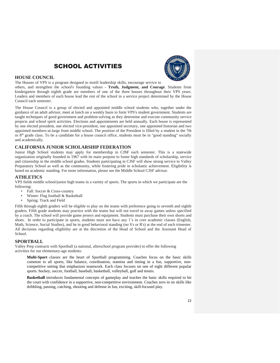## SCHOOL ACTIVITIES



#### **HOUSE COUNCIL**

The Houses of VPS is a program designed to instill leadership skills, encourage service to

others, and strengthen the school's founding values - **Truth, Judgment, and Courage**. Students from kindergarten through eighth grade are members of one of the three houses throughout their VPS years. Leaders and members of each house lead the rest of the school in a service project determined by the House Council each semester.

The House Council is a group of elected and appointed middle school students who, together under the guidance of an adult advisor, meet at lunch on a weekly basis to form VPS's student government. Students are taught techniques of good government and problem-solving as they determine and execute community service projects and school spirit activities. Elections and appointments are held annually. Each house is represented by one elected president, one elected vice-president, one appointed secretary, one appointed historian and two appointed members-at-large from middle school. The position of the President is filled by a student in the 7th or  $8<sup>th</sup>$  grade class. To be a candidate for a house council office, students must be in "good standing" socially and academically.

#### **CALIFORNIA JUNIOR SCHOLARSHIP FEDERATION**

Junior High School students may apply for membership in CJSF each semester. This is a statewide organization originally founded in 1967 with its main purpose to foster high standards of scholarship, service and citizenship in the middle school grades. Students participating in CJSF will show strong service to Valley Preparatory School as well as the community, while fostering pride in scholastic achievement. Eligibility is based on academic standing. For more information, please see the Middle School CJSF advisor.

#### **ATHLETICS**

VPS fields middle school/junior high teams in a variety of sports. The sports in which we participate are the following:

- Fall: Soccer & Cross-country
- Winter: Flag football & Basketball
- Spring: Track and Field

Fifth through eighth graders will be eligible to play on the teams with preference going to seventh and eighth graders. Fifth grade students may practice with the teams but will not travel to away games unless specified by a coach. The school will provide game jerseys and equipment. Students must purchase their own shorts and shoes. In order to participate in sports, students must not have any 1's in core academic classes (English, Math, Science, Social Studies), and be in good behavioral standing (no S's or R's) at the end of each trimester. All decisions regarding eligibility are at the discretion of the Head of School and the Assistant Head of School.

#### **SPORTBALL**

Valley Prep contracts with Sportball (a national, afterschool program provider) to offer the following activities for our elementary-age students:

**Multi-Sport** classes are the heart of Sportball programming. Coaches focus on the basic skills common to all sports, like balance, coordination, stamina and timing in a fun, supportive, noncompetitive setting that emphasizes teamwork. Each class focuses on one of eight different popular sports: hockey, soccer, football, baseball, basketball, volleyball, golf and tennis.

**Basketball** introduces fundamental concepts of gameplay and teaches the basic skills required to hit the court with confidence in a supportive, non-competitive environment. Coaches zero in on skills like dribbling, passing, catching, shooting and defense in fun, exciting, skill-focused play.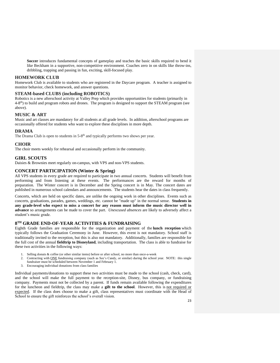**Soccer** introduces fundamental concepts of gameplay and teaches the basic skills required to bend it like Beckham in a supportive, non-competitive environment. Coaches zero in on skills like throw-ins, dribbling, trapping and passing in fun, exciting, skill-focused play.

#### **HOMEWORK CLUB**

Homework Club is available to students who are registered in the Daycare program. A teacher is assigned to monitor behavior, check homework, and answer questions.

#### **STEAM-based CLUBS (including ROBOTICS)**

Robotics is a new afterschool activity at Valley Prep which provides opportunities for students (primarily in 4-8<sup>th</sup>) to build and program robots and drones. The program is designed to support the STEAM program (see above).

#### **MUSIC & ART**

Music and art classes are mandatory for all students at all grade levels. In addition, afterschool programs are occasionally offered for students who want to explore these disciplines in more depth.

#### **DRAMA**

The Drama Club is open to students in 5-8<sup>th</sup> and typically performs two shows per year.

#### **CHOIR**

The choir meets weekly for rehearsal and occasionally perform in the community.

#### **GIRL SCOUTS**

Daisies & Brownies meet regularly on-campus, with VPS and non-VPS students.

#### **CONCERT PARTICIPATION (Winter & Spring)**

All VPS students in every grade are required to participate in two annual concerts. Students will benefit from performing and from listening at these events. The performances are the reward for months of preparation. The Winter concert is in December and the Spring concert is in May. The concert dates are published in numerous school calendars and announcements. The students hear the dates in class frequently.

Concerts, which are held on specific dates, are unlike the ongoing work in other disciplines. Events such as concerts, graduations, parades, games, weddings, etc. cannot be "made up" in the normal sense. **Students in any grade-level who expect to miss a concert for any reason must inform the music director well in advance** so arrangements can be made to cover the part. *Unexcused absences* are likely to adversely affect a student's music grade.

#### **8 TH GRADE END-OF-YEAR ACTIVITIES & FUNDRAISING**

Eighth Grade families are responsible for the organization and payment of the **lunch reception** which typically follows the Graduation Ceremony in June. However, this event is not mandatory. School staff is traditionally invited to the reception, but this is also not mandatory. Additionally, families are responsible for the full cost of the annual **fieldtrip to Disneyland**, including transportation. The class is able to fundraise for these two activities in the following ways:

- 1. Selling donuts & coffee (or other similar items) before or after school, no more than once-a-week
- 2. Contracting with ONE fundraising company (such as See's Candy, or similar) during the school year. NOTE: this single fundraiser must be scheduled between November 1 and February 1.
- 3. Encouraging individual donations from class families

Individual payments/donations to support these two activities must be made to the school (cash, check, card), and the school will make the full payment to the reception-site, Disney, bus company, or fundraising company. Payments must not be collected by a parent. If funds remain available following the expenditures for the luncheon and fieldtrip, the class may make a **gift to the school**. However, this is not required or expected. If the class does choose to make a gift, class representatives must coordinate with the Head of School to ensure the gift reinforces the school's overall vision.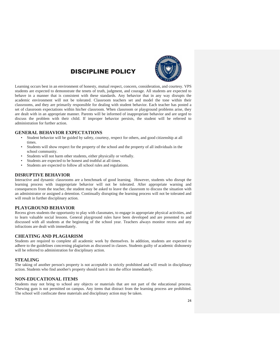## DISCIPLINE POLICY



Learning occurs best in an environment of honesty, mutual respect, concern, consideration, and courtesy. VPS students are expected to demonstrate the tenets of truth, judgment, and courage. All students are expected to behave in a manner that is consistent with these standards. Any behavior that in any way disrupts the academic environment will not be tolerated. Classroom teachers set and model the tone within their classrooms, and they are primarily responsible for dealing with student behavior. Each teacher has posted a set of classroom expectations within his/her classroom. When classroom or playground problems arise, they are dealt with in an appropriate manner. Parents will be informed of inappropriate behavior and are urged to discuss the problem with their child. If improper behavior persists, the student will be referred to administration for further action.

#### **GENERAL BEHAVIOR EXPECTATIONS**

- Student behavior will be guided by safety, courtesy, respect for others, and good citizenship at all times.
- Students will show respect for the property of the school and the property of all individuals in the school community.
- Students will not harm other students, either physically or verbally.
- Students are expected to be honest and truthful at all times.
- Students are expected to follow all school rules and regulations.

#### **DISRUPTIVE BEHAVIOR**

Interactive and dynamic classrooms are a benchmark of good learning. However, students who disrupt the learning process with inappropriate behavior will not be tolerated. After appropriate warning and consequences from the teacher, the student may be asked to leave the classroom to discuss the situation with an administrator or assigned a detention. Continually disrupting the learning process will not be tolerated and will result in further disciplinary action.

#### **PLAYGROUND BEHAVIOR**

Recess gives students the opportunity to play with classmates, to engage in appropriate physical activities, and to learn valuable social lessons. General playground rules have been developed and are presented to and discussed with all students at the beginning of the school year. Teachers always monitor recess and any infractions are dealt with immediately.

#### **CHEATING AND PLAGIARISM**

Students are required to complete all academic work by themselves. In addition, students are expected to adhere to the guidelines concerning plagiarism as discussed in classes. Students guilty of academic dishonesty will be referred to administration for disciplinary action.

#### **STEALING**

The taking of another person's property is not acceptable is strictly prohibited and will result in disciplinary action. Students who find another's property should turn it into the office immediately.

#### **NON-EDUCATIONAL ITEMS**

Students may not bring to school any objects or materials that are not part of the educational process. Chewing gum is not permitted on campus. Any items that distract from the learning process are prohibited. The school will confiscate these materials and disciplinary action may be taken.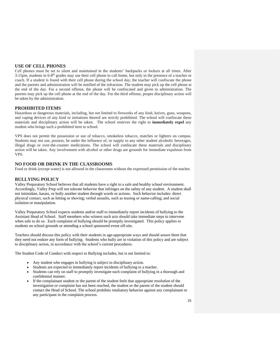#### **USE OF CELL PHONES**

Cell phones must be set to silent and maintained in the students' backpacks or lockers at all times. After 3:15pm, students in 6-8<sup>th</sup> grades may use their cell phone to call home, but only in the presence of a teacher or coach. If a student is found with their cell phone during the school day, the teacher will confiscate the phone and the parents and administration will be notified of the infraction. The student may pick up the cell phone at the end of the day. For a second offense, the phone will be confiscated and given to administration. The parents may pick up the cell phone at the end of the day. For the third offense, proper disciplinary action will be taken by the administration.

#### **PROHIBITED ITEMS**

Hazardous or dangerous materials, including, but not limited to fireworks of any kind, knives, guns, weapons, and vaping devices of any kind or imitations thereof are strictly prohibited. The school will confiscate these materials and disciplinary action will be taken. The school reserves the right to **immediately expel** any student who brings such a prohibited item to school.

VPS does not permit the possession or use of tobacco, smokeless tobacco, matches or lighters on campus. Students may not use, possess, be under the influence of, or supply to any other student alcoholic beverages, illegal drugs or over-the-counter medications. The school will confiscate these materials and disciplinary action will be taken. Any involvement with alcohol or other drugs are grounds for immediate expulsion from VPS.

#### **NO FOOD OR DRINK IN THE CLASSROOMS**

Food or drink (except water) is not allowed in the classrooms without the expressed permission of the teacher.

#### **BULLYING POLICY**

Valley Preparatory School believes that all students have a right to a safe and healthy school environment. Accordingly, Valley Prep will not tolerate behavior that infringes on the safety of any student. A student shall not intimidate, harass, or bully another student through words or actions. Such behavior includes: direct physical contact, such as hitting or shoving; verbal assaults, such as teasing or name-calling; and social isolation or manipulation.

Valley Preparatory School expects students and/or staff to immediately report incidents of bullying to the Assistant Head of School. Staff members who witness such acts should take immediate steps to intervene when safe to do so. Each complaint of bullying should be promptly investigated. This policy applies to students on school grounds or attending a school sponsored event off-site.

Teachers should discuss this policy with their students in age-appropriate ways and should assure them that they need not endure any form of bullying. Students who bully are in violation of this policy and are subject to disciplinary action, in accordance with the school's current procedures.

The Student Code of Conduct with respect to Bullying includes, but is not limited to:

- Any student who engages in bullying is subject to disciplinary action.
- Students are expected to immediately report incidents of bullying to a teacher.
- Students can rely on staff to promptly investigate each complaint of bullying in a thorough and confidential manner.
- If the complainant student or the parent of the student feels that appropriate resolution of the investigation or complaint has not been reached, the student or the parent of the student should contact the Head of School. The school prohibits retaliatory behavior against any complainant or any participant in the complaint process.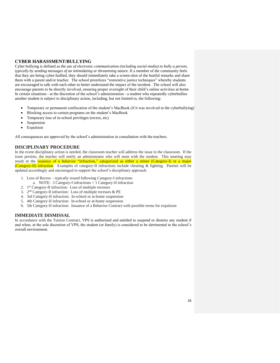#### **CYBER HARASSMENT/BULLYING**

Cyber bullying is defined as *the use of electronic communication (including social media) to bully a person, typically by sending messages of an intimidating or threatening nature*. If a member of the community feels that they are being cyber-bullied, they should immediately take a screen-shot of the hurtful remarks and share them with a parent and/or teacher. The school prioritizes "restorative justice techniques" whereby students are encouraged to talk with each other to better understand the impact of the incident. The school will also encourage parents to be directly involved, ensuring proper oversight of their child's online activities at-home. In certain situations - at the discretion of the school's administration - a student who repeatedly cyberbullies another student is subject to disciplinary action, including, but not limited to, the following:

- Temporary or permanent confiscation of the student's MacBook (if it was involved in the cyberbullying)
- Blocking access to certain programs on the student's MacBook
- Temporary loss of in-school privileges (recess, etc)
- Suspension
- Expulsion

All consequences are approved by the school's administration in consultation with the teachers.

#### **DISCIPLINARY PROCEDURE**

In the event disciplinary action is needed, the classroom teacher will address the issue in the classroom. If the issue persists, the teacher will notify an administrator who will meet with the student. This meeting may result in the issuance of a behavior "infraction," categorized as either a minor (Category-I) or a major (Category-II) infraction. Examples of category-II infractions include cheating & fighting. Parents will be updated accordingly and encouraged to support the school's disciplinary approach.

- 1. Loss of Recess typically issued following Category-I infractions
	- a. NOTE: 3 Category-I infractions = 1 Category-II infraction
- 2. 1 st Category-II infraction: Loss of multiple recesses
- 3. 2<sup>nd</sup> Category-II infraction: Loss of multiple recesses & PE
- 4. 3rd Category-II infraction: In-school or at-home suspension
- 5. 4th Category-II infraction: In-school or at-home suspension
- 6. 5th Category-II infraction: Issuance of a Behavior Contract with possible terms for expulsion

#### **IMMEDIATE DISMISSAL**

In accordance with the Tuition Contract, VPS is authorized and entitled to suspend or dismiss any student if and when, at the sole discretion of VPS, the student (or family) is considered to be detrimental to the school's overall environment.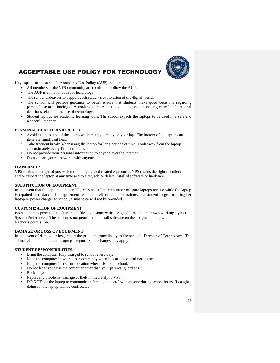

## **ACCEPTABLE USE POLICY FOR TECHNOLOG**

Key aspects of the school's Acceptable Use Policy (AUP) include:

- All members of the VPS community are required to follow the AUP.
- The AUP is an honor code for technology.
- The school endeavors to support each student's exploration of the digital world.
- The school will provide guidance to better ensure that students make good decisions regarding personal use of technology. Accordingly, the AUP is a guide to assist in making ethical and practical decisions related to the use of technology.
- Student laptops are academic learning tools. The school expects the laptops to be used in a safe and respectful manner.

#### **PERSONAL HEALTH AND SAFETY**

- Avoid extended use of the laptop while resting directly on your lap. The bottom of the laptop can generate significant heat.
- Take frequent breaks when using the laptop for long periods of time. Look away from the laptop approximately every fifteen minutes.
- Do not provide your personal information to anyone over the Internet.
- Do not share your passwords with anyone.

#### **OWNERSHIP**

VPS retains sole right of possession of the laptop and related equipment. VPS retains the right to collect and/or inspect the laptop at any time and to alter, add or delete installed software or hardware.

#### **SUBSTITUTION OF EQUIPMENT**

In the event that the laptop is inoperable, VPS has a limited number of spare laptops for use while the laptop is repaired or replaced. This agreement remains in effect for the substitute. If a student forgets to bring her laptop or power charger to school, a substitute will not be provided.

#### **CUSTOMIZATION OF EQUIPMENT**

Each student is permitted to alter or add files to customize the assigned laptop to their own working styles (i.e. System Preferences). The student is not permitted to install software on the assigned laptop without a teacher's permission.

#### **DAMAGE OR LOSS OF EQUIPMENT**

In the event of damage or loss, report the problem immediately to the school's Director of Technology. The school will then facilitate the laptop's repair. Some charges may apply.

#### **STUDENT RESPONSIBILITIES:**

- Bring the computer fully charged to school every day.
- Keep the computer in your classroom cubby when it is at school and not in use.
- Keep the computer in a secure location when it is not at school.
- Do not let anyone use the computer other than your parents/ guardians.
- Back-up your data.
- Report any problems, damage or theft immediately to VPS.
- DO NOT use the laptop to communicate (email, chat, etc) with anyone during school hours. If caught doing so, the laptop will be confiscated.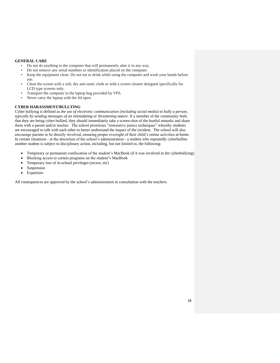#### **GENERAL CARE**

- Do not do anything to the computer that will permanently alter it in any way.
- Do not remove any serial numbers or identification placed on the computer.
- Keep the equipment clean. Do not eat or drink while using the computer and wash your hands before use.
- Clean the screen with a soft, dry anti-static cloth or with a screen cleaner designed specifically for LCD type screens only.
- Transport the computer in the laptop bag provided by VPS.
- Never carry the laptop with the lid open.

#### **CYBER HARASSMENT/BULLYING**

Cyber bullying is defined as *the use of electronic communication (including social media) to bully a person, typically by sending messages of an intimidating or threatening nature*. If a member of the community feels that they are being cyber-bullied, they should immediately take a screen-shot of the hurtful remarks and share them with a parent and/or teacher. The school prioritizes "restorative justice techniques" whereby students are encouraged to talk with each other to better understand the impact of the incident. The school will also encourage parents to be directly involved, ensuring proper oversight of their child's online activities at-home. In certain situations - at the discretion of the school's administration - a student who repeatedly cyberbullies another student is subject to disciplinary action, including, but not limited to, the following:

- Temporary or permanent confiscation of the student's MacBook (if it was involved in the cyberbullying)
- Blocking access to certain programs on the student's MacBook
- Temporary loss of in-school privileges (recess, etc)
- Suspension
- Expulsion

All consequences are approved by the school's administration in consultation with the teachers.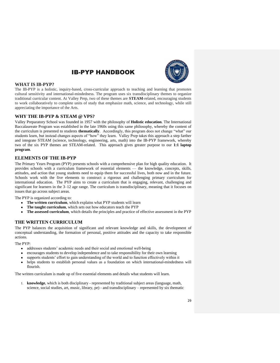

## IB-PYP HANDBOOK

#### **WHAT IS IB-PYP?**

The IB-PYP is a holistic, inquiry-based, cross-curricular approach to teaching and learning that promotes cultural sensitivity and international-mindedness. The program uses six transdisciplinary themes to organize traditional curricular content. At Valley Prep, two of these themes are **STEAM**-related, encouraging students to work collaboratively to complete units of study that emphasize math, science, and technology, while still appreciating the importance of the Arts.

#### **WHY THE IB-PYP & STEAM @ VPS?**

Valley Preparatory School was founded in 1957 with the philosophy of **Holistic education**. The International Baccalaureate Program was established in the late 1960s using this same philosophy, whereby the content of the curriculum is presented to students **thematically**. Accordingly, this program does not change "what" our students learn, but instead changes aspects of "how" they learn. Valley Prep takes this approach a step farther and integrate STEAM (science, technology, engineering, arts, math) into the IB-PYP framework, whereby two of the six PYP themes are STEAM-related. This approach gives greater purpose to our **1:1 laptop program**.

#### **ELEMENTS OF THE IB-PYP**

The Primary Years Program (PYP) presents schools with a comprehensive plan for high quality education. It provides schools with a curriculum framework of essential elements — the knowledge, concepts, skills, attitudes, and action that young students need to equip them for successful lives, both now and in the future. Schools work with the five elements to construct a rigorous and challenging primary curriculum for international education. The PYP aims to create a curriculum that is engaging, relevant, challenging and significant for learners in the 3–12 age range. The curriculum is transdisciplinary, meaning that it focuses on issues that go across subject areas.

The PYP is organized according to:

- [The written curriculum](http://www.ibo.org/programmes/primary-years-programme/curriculum/written-curriculum/)[,](http://www.ibo.org/programmes/primary-years-programme/curriculum/written-curriculum/) which explains what PYP students will learn
- [The taught curriculum](http://www.ibo.org/programmes/primary-years-programme/curriculum/taught-curriculum/), which sets out how educators teach the PYP
- **[The assessed curriculum](http://www.ibo.org/programmes/primary-years-programme/curriculum/assessed-curriculum/)**, which details the principles and practice of effective assessment in the PYP

#### **THE WRITTEN CURRICULUM**

The PYP balances the acquisition of significant and relevant knowledge and skills, the development of conceptual understanding, the formation of personal, positive attitudes and the capacity to take responsible actions.

The PYP:

- addresses students' academic needs and their social and emotional well-being
- encourages students to develop independence and to take responsibility for their own learning
- supports students' effort to gain understanding of the world and to function effectively within it
- helps students to establish personal values as a foundation on which international-mindedness will flourish.

The written curriculum is made up of five essential elements and details what students will learn.

1. **knowledge**, which is both disciplinary - represented by traditional subject areas (language, math, science, social studies, art, music, library, pe) - and transdisciplinary – represented by six thematic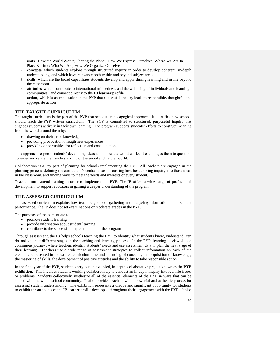units: How the World Works; Sharing the Planet; How We Express Ourselves; Where We Are In Place & Time; Who We Are; How We Organize Ourselves.

- 2. **concepts**, which students explore through structured inquiry in order to develop coherent, in-depth understanding, and which have relevance both within and beyond subject areas.
- 3. **skills**, which are the broad capabilities students develop and apply during learning and in life beyond the classroom.
- 4. **attitudes**, which contribute to international-mindedness and the wellbeing of individuals and learning communities, and connect directly to the **[IB learner profile.](http://www.ibo.org/benefits/learner-profile/)**
- 5. **action**, which is an expectation in the PYP that successful inquiry leads to responsible, thoughtful and appropriate action.

#### **THE TAUGHT CURRICULUM**

The taught curriculum is the part of the PYP that sets out its pedagogical approach. It identifies how schools should teach the [PYP written curriculum.](http://www.ibo.org/programmes/primary-years-programme/curriculum/written-curriculum/) The PYP is committed to structured, purposeful inquiry that engages students actively in their own learning. The program supports students' efforts to construct meaning from the world around them by:

- drawing on their prior knowledge
- providing provocation through new experiences
- providing opportunities for reflection and consolidation.

This approach respects students' developing ideas about how the world works. It encourages them to question, consider and refine their understanding of the social and natural world.

Collaboration is a key part of planning for schools implementing the PYP. All teachers are engaged in the planning process, defining the curriculum's central ideas, discussing how best to bring inquiry into those ideas in the classroom, and finding ways to meet the needs and interests of every student.

Teachers must attend training in order to implement the PYP. The IB offers a wide range of professional development to support educators in gaining a deeper understanding of the program.

#### **THE ASSESSED CURRICULUM**

The assessed curriculum explains how teachers go about gathering and analyzing information about student performance. The IB does not set examinations or moderate grades in the PYP.

The purposes of assessment are to:

- promote student learning
- provide information about student learning
- contribute to the successful implementation of the program

Through assessment, the IB helps schools teaching the PYP to identify what students know, understand, can do and value at different stages in the teaching and learning process. In the PYP, learning is viewed as a continuous journey, where teachers identify students' needs and use assessment data to plan the next stage of their learning. Teachers use a wide range of assessment strategies to collect information on each of the elements represented in the [written curriculum:](http://www.ibo.org/programmes/primary-years-programme/curriculum/written-curriculum/) the understanding of concepts, the acquisition of knowledge, the mastering of skills, the development of positive attitudes and the ability to take responsible action.

In the final year of the PYP, students carry-out an extended, in-depth, collaborative project known as the **PYP exhibition.** This involves students working collaboratively to conduct an in-depth inquiry into real life issues or problems. Students collectively synthesize all of the essential elements of the PYP in ways that can be shared with the whole school community.It also provides teachers with a powerful and authentic process for assessing student understanding.The exhibition represents a unique and significant opportunity for students to exhibit the attributes of the [IB learner profile](http://www.ibo.org/benefits/learner-profile/) developed throughout their engagement with the PYP.It also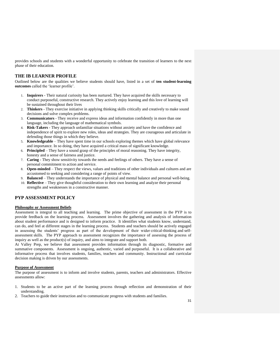provides schools and students with a wonderful opportunity to celebrate the transition of learners to the next phase of their education.

#### **THE IB LEARNER PROFILE**

Outlined below are the qualities we believe students should have, listed in a set of **ten student-learning outcomes** called the 'learner profile'.

- 1. **Inquirers** Their natural curiosity has been nurtured. They have acquired the skills necessary to conduct purposeful, constructive research. They actively enjoy learning and this love of learning will be sustained throughout their lives
- 2. **Thinkers** They exercise initiative in applying thinking skills critically and creatively to make sound decisions and solve complex problems.
- 3. **Communicators** They receive and express ideas and information confidently in more than one language, including the language of mathematical symbols.
- 4. **Risk-Takers** They approach unfamiliar situations without anxiety and have the confidence and independence of spirit to explore new roles, ideas and strategies. They are courageous and articulate in defending those things in which they believe.
- 5. **Knowledgeable** They have spent time in our schools exploring themes which have global relevance and importance. In so doing, they have acquired a critical mass of significant knowledge.
- 6. **Principled** They have a sound grasp of the principles of moral reasoning. They have integrity, honesty and a sense of fairness and justice.
- 7. **Caring**  They show sensitivity towards the needs and feelings of others. They have a sense of personal commitment to action and service.
- 8. **Open-minded** They respect the views, values and traditions of other individuals and cultures and are accustomed to seeking and considering a range of points of view.
- 9. **Balanced** They understands the importance of physical and mental balance and personal well-being.
- 10. **Reflective** They give thoughtful consideration to their own learning and analyze their personal strengths and weaknesses in a constructive manner.

#### **PYP ASSESSMENT POLICY**

#### **Philosophy or Assessment Beliefs**

Assessment is integral to all teaching and learning. The prime objective of assessment in the PYP is to provide feedback on the learning process. Assessment involves the gathering and analysis of information about student performance and is designed to inform practice. It identifies what students know, understand, can do, and feel at different stages in the learning process. Students and teachers should be actively engaged in assessing the students' progress as part of the development of their wider critical-thinking and selfassessment skills. The PYP approach to assessment recognizes the importance of assessing the process of inquiry as well as the product(s) of inquiry, and aims to integrate and support both.

At Valley Prep, we believe that assessment provides information through its diagnostic, formative and summative components. Assessment is ongoing, authentic, varied and purposeful. It is a collaborative and informative process that involves students, families, teachers and community. Instructional and curricular decision making is driven by our assessments.

#### **Purpose of Assessment**

The purpose of assessment is to inform and involve students, parents, teachers and administrators. Effective assessments allow:

- 1. Students to be an active part of the learning process through reflection and demonstration of their understanding.
- 2. Teachers to guide their instruction and to communicate progress with students and families.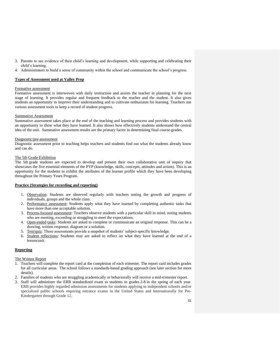- 3. Parents to see evidence of their child's learning and development, while supporting and celebrating their child's learning.
- 4. Administrators to build a sense of community within the school and communicate the school's progress.

#### **Types of Assessment used at Valley Prep**

#### Formative assessment

Formative assessment is interwoven with daily instruction and assists the teacher in planning for the next stage of learning. It provides regular and frequent feedback to the teacher and the student. It also gives students an opportunity to improve their understanding and to cultivate enthusiasm for learning. Teachers use various assessment tools to keep a record of student progress.

#### Summative Assessment

Summative assessment takes place at the end of the teaching and learning process and provides students with an opportunity to show what they have learned. It also shows how effectively students understand the central idea of the unit. Summative assessment results are the primary factor in determining final course-grades.

#### Diagnostic/pre-assessment

Diagnostic assessment prior to teaching helps teachers and students find out what the students already know and can do.

#### The 5th Grade Exhibition

The 5th grade students are expected to develop and present their own collaborative unit of inquiry that showcases the five essential elements of the PYP (knowledge, skills, concepts, attitudes and action). This is an opportunity for the students to exhibit the attributes of the learner profile which they have been developing throughout the Primary Years Program.

#### **Practice (Strategies for recording and reporting)**

- 1. Observation: Students are observed regularly with teachers noting the growth and progress of individuals, groups and the whole class.
- 2. Performance assessment: Students apply what they have learned by completing authentic tasks that have more than one acceptable solution.
- 3. Process-focused assessment: Teachers observe students with a particular skill in mind, noting students who are meeting, exceeding or struggling to meet the expectations.
- 4. Open-ended tasks: Students are asked to complete or communicate an original response. This can be a drawing, written response, diagram or a solution.
- 5. Test/quiz: These assessments provide a snapshot of students' subject-specific knowledge.
- 6. Student reflections: Students may are asked to reflect on what they have learned at the end of a lesson/unit.

#### **Reporting**

#### The Written Report

- 1. Teachers will complete the report card at the completion of each trimester. The report card includes grades for all curricular areas. The school follows a standards-based grading approach (see later section for more details).
- 2. Families of students who are struggling academically or behaviorally will receive a mid-trimester report.
- 3. Staff will administer the ERB standardized exam to students in grades 2-8 in the spring of each year. ERB provides highly regarded admission assessments for students applying to independent schools and/or specialized public schools requiring entrance exams in the United States and Internationally for Pre-Kindergarten through Grade 12.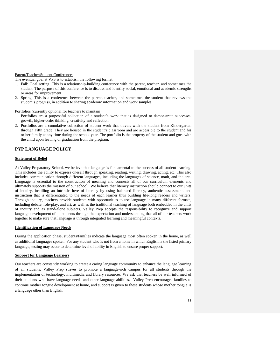#### Parent/Teacher/Student Conferences

The eventual goal at VPS is to establish the following format:

- 1. Fall: Goal setting. This is a relationship-building conference with the parent, teacher, and sometimes the student. The purpose of this conference is to discuss and identify social, emotional and academic strengths or areas for improvement.
- 2. Spring: This is a conference between the parent, teacher, and sometimes the student that reviews the student's progress, in addition to sharing academic information and work samples.

Portfolios (currently optional for teachers to maintain)

- 1. Portfolios are a purposeful collection of a student's work that is designed to demonstrate successes, growth, higher-order thinking, creativity and reflection.
- 2. Portfolios are a cumulative collection of student work that travels with the student from Kindergarten through Fifth grade. They are housed in the student's classroom and are accessible to the student and his or her family at any time during the school year. The portfolio is the property of the student and goes with the child upon leaving or graduation from the program.

#### **PYP LANGUAGE POLICY**

#### **Statement of Belief**

At Valley Preparatory School, we believe that language is fundamental to the success of all student learning. This includes the ability to express oneself through speaking, reading, writing, drawing, acting, etc. This also includes communication through different languages, including the languages of science, math, and the arts. Language is essential to the construction of meaning and connects all of our curriculum elements and ultimately supports the mission of our school. We believe that literacy instruction should connect to our units of inquiry, instilling an intrinsic love of literacy by using balanced literacy, authentic assessment, and instruction that is differentiated to the needs of each learner thus building life-long readers and writers. Through inquiry, teachers provide students with opportunities to use language in many different formats, including debate, role-play, and art, as well as the traditional teaching of language both embedded in the units of inquiry and as stand-alone subjects. Valley Prep accepts the responsibility to recognize and support language development of all students through the expectation and understanding that all of our teachers work together to make sure that language is through integrated learning and meaningful contexts.

#### **Identification of Language Needs**

During the application phase, students/families indicate the language most often spoken in the home, as well as additional languages spoken. For any student who is not from a home in which English is the listed primary language, testing may occur to determine level of ability in English to ensure proper support.

#### **Support for Language Learners**

Our teachers are constantly working to create a caring language community to enhance the language learning of all students. Valley Prep strives to promote a language-rich campus for all students through the implementation of technology, multimedia and library resources. We ask that teachers be well informed of their students who have language needs and other language abilities. Valley Prep encourages families to continue mother tongue development at home, and support is given to these students whose mother tongue is a language other than English.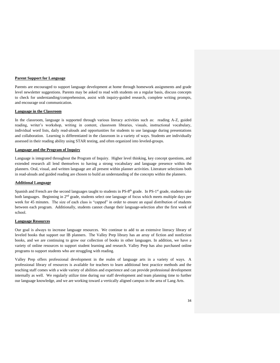#### **Parent Support for Language**

Parents are encouraged to support language development at home through homework assignments and grade level newsletter suggestions. Parents may be asked to read with students on a regular basis, discuss concepts to check for understanding/comprehension, assist with inquiry-guided research, complete writing prompts, and encourage oral communication.

#### **Language in the Classroom**

In the classroom, language is supported through various literacy activities such as: reading A-Z, guided reading, writer's workshop, writing in content, classroom libraries, visuals, instructional vocabulary, individual word lists, daily read-alouds and opportunities for students to use language during presentations and collaboration. Learning is differentiated in the classroom in a variety of ways. Students are individually assessed in their reading ability using STAR testing, and often organized into leveled-groups.

#### **Language and the Program of Inquiry**

Language is integrated throughout the Program of Inquiry. Higher level thinking, key concept questions, and extended research all lend themselves to having a strong vocabulary and language presence within the planners. Oral, visual, and written language are all present within planner activities. Literature selections both in read-alouds and guided reading are chosen to build an understanding of the concepts within the planners.

#### **Additional Language**

Spanish and French are the second languages taught to students in PS-8<sup>th</sup> grade. In PS-1<sup>st</sup> grade, students take both languages. Beginning in 2<sup>nd</sup> grade, students select one language of focus which meets multiple days per week for 45 minutes. The size of each class is "capped" in order to ensure an equal distribution of students between each program. Additionally, students cannot change their language-selection after the first week of school.

#### **Language Resources**

Our goal is always to increase language resources. We continue to add to an extensive literacy library of leveled books that support our IB planners. The Valley Prep library has an array of fiction and nonfiction books, and we are continuing to grow our collection of books in other languages. In addition, we have a variety of online resources to support student learning and research. Valley Prep has also purchased online programs to support students who are struggling with reading.

Valley Prep offers professional development in the realm of language arts in a variety of ways. A professional library of resources is available for teachers to learn additional best practice methods and the teaching staff comes with a wide variety of abilities and experience and can provide professional development internally as well. We regularly utilize time during our staff development and team planning time to further our language knowledge, and we are working toward a vertically aligned campus in the area of Lang Arts.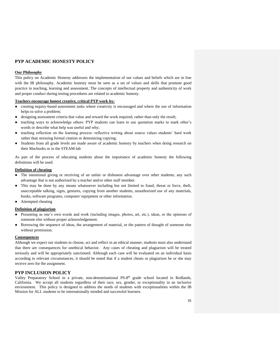#### **PYP ACADEMIC HONESTY POLICY**

#### **Our Philosophy**

This policy on Academic Honesty addresses the implementation of our values and beliefs which are in line with the IB philosophy. Academic honesty must be seen as a set of values and skills that promote good practice in teaching, learning and assessment. The concepts of intellectual property and authenticity of work and proper conduct during testing procedures are related to academic honesty.

#### **Teachers encourage honest creative, critical PYP work by:**

- creating inquiry-based assessment tasks where creativity is encouraged and where the use of information helps to solve a problem;
- designing assessment criteria that value and reward the work required, rather than only the result;
- teaching ways to acknowledge others: PYP students can learn to use quotation marks to mark other's words or describe what help was useful and why;
- teaching reflection on the learning process: reflective writing about source values students' hard work rather than stressing formal citation or demonizing copying;
- Students from all grade levels are made aware of academic honesty by teachers when doing research on their Macbooks or in the STEAM-lab

As part of the process of educating students about the importance of academic honesty the following definitions will be used:

#### **Definition of cheating**

- The intentional giving or receiving of an unfair or dishonest advantage over other students; any such advantage that is not authorized by a teacher and/or other staff member.
- This may be done by any means whatsoever including but not limited to fraud, threat or force, theft, unacceptable talking, signs, gestures, copying from another students, unauthorized use of any materials, books, software programs, computer/ equipment or other information.
- Attempted cheating

#### **Definition of plagiarism**

- Presenting as one's own words and work (including images, photos, art, etc.), ideas, or the opinions of someone else without proper acknowledgement.
- Borrowing the sequence of ideas, the arrangement of material, or the pattern of thought of someone else without permission.

#### **Consequences**

Although we expect our students to choose, act and reflect in an ethical manner, students must also understand that there are consequences for unethical behavior. Any cases of cheating and plagiarism will be treated seriously and will be appropriately sanctioned. Although each case will be evaluated on an individual basis according to relevant circumstances, it should be noted that if a student cheats or plagiarizes he or she may receive zero for the assignment.

#### **PYP INCLUSION POLICY**

Valley Preparatory School in a private, non-denominational PS-8<sup>th</sup> grade school located in Redlands, California. We accept all students regardless of their race, sex, gender, or exceptionality in an inclusive environment. This policy is designed to address the needs of students with exceptionalities within the IB Mission for ALL students to be internationally minded and successful learners.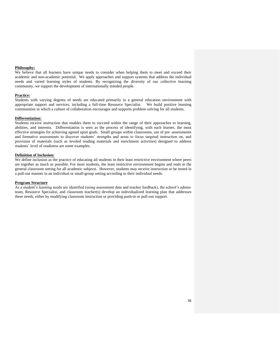#### **Philosophy:**

We believe that all learners have unique needs to consider when helping them to meet and exceed their academic and non-academic potential. We apply approaches and support systems that address the individual needs and varied learning styles of students. By recognizing the diversity of our collective learning community, we support the development of internationally minded people.

#### **Practice:**

Students with varying degrees of needs are educated primarily in a general education environment with appropriate support and services, including a full-time Resource Specialist. We build positive learning communities in which a culture of collaboration encourages and supports problem solving for all students.

#### **Differentiation:**

Students receive instruction that enables them to succeed within the range of their approaches to learning, abilities, and interests. Differentiation is seen as the process of identifying, with each learner, the most effective strategies for achieving agreed upon goals. Small groups within classrooms, use of pre -assessments and formative assessments to discover students' strengths and areas to focus targeted instruction on, and provision of materials (such as leveled reading materials and enrichment activities) designed to address students' level of readiness are some examples.

#### **Definition of Inclusion:**

We define inclusion as the practice of educating all students in their least restrictive environment where peers are together as much as possible. For most students, the least restrictive environment begins and ends in the general classroom setting for all academic subjects. However, students may receive instruction or be tested in a pull-out manner in an individual or small-group setting according to their individual needs.

#### **Program Structure**

As a student's learning needs are identified (using assessment data and teacher feedback), the school's adminteam, Resource Specialist, and classroom teacher(s) develop an individualized learning plan that addresses these needs, either by modifying classroom instruction or providing push-in or pull-out support.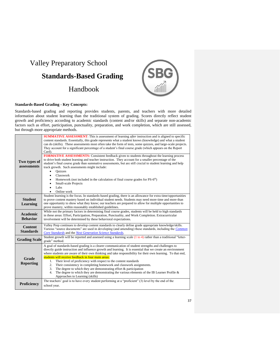## Valley Preparatory School

## **Standards-Based Grading**

Handbook



#### **Standards-Based Grading - Key Concepts:**

Standards-based grading and reporting provides students, parents, and teachers with more detailed information about student learning than the traditional system of grading. Scores directly reflect student growth and proficiency according to academic standards (content and/or skills) and separate non-academic factors such as effort, participation, punctuality, preparation, and work completion, which are still assessed, but through more appropriate methods.

| Two types of<br>assessments        | <b>SUMMATIVE ASSESSMENT:</b> This is assessment of learning <i>after</i> instruction and is aligned to specific<br>content standards. Essentially, this grade represents what a student knows (knowledge) and what a student<br>can do (skills). These assessments most often take the form of tests, some quizzes, and large-scale projects.<br>They account for a significant percentage of a student's final course grade (which appears on the Report<br>Card).<br><b>FORMATIVE ASSESSMENTS:</b> Consistent feedback given to students throughout the learning process<br>to drive both student learning and teacher instruction. They account for a smaller percentage of the<br>student's final course grade than summative assessments, but are still crucial to student learning and help<br>track growth. Such assessments might include:<br><b>Ouizzes</b><br>$\bullet$<br>Classwork<br>$\bullet$<br>Homework (not included in the calculation of final course grades for PS-6 <sup>th</sup> )<br>٠<br>Small-scale Projects<br>$\bullet$<br>Labs<br>$\bullet$<br>Online work<br>$\bullet$ |  |  |  |
|------------------------------------|-----------------------------------------------------------------------------------------------------------------------------------------------------------------------------------------------------------------------------------------------------------------------------------------------------------------------------------------------------------------------------------------------------------------------------------------------------------------------------------------------------------------------------------------------------------------------------------------------------------------------------------------------------------------------------------------------------------------------------------------------------------------------------------------------------------------------------------------------------------------------------------------------------------------------------------------------------------------------------------------------------------------------------------------------------------------------------------------------------|--|--|--|
| <b>Student</b><br>Learning         | Student learning is the focus. In standards-based grading, there is an allowance for extra time/opportunities<br>to prove content mastery based on individual student needs. Students may need more time and more than<br>one opportunity to show what they know; our teachers are prepared to allow for multiple opportunities to<br>prove mastery, within reasonably established guidelines.                                                                                                                                                                                                                                                                                                                                                                                                                                                                                                                                                                                                                                                                                                      |  |  |  |
| <b>Academic</b><br><b>Behavior</b> | While not the primary factors in determining final course grades, students will be held to high standards<br>in these areas: Effort, Participation, Preparation, Punctuality, and Work Completion. Extracurricular<br>involvement will be determined by these behavioral expectations.                                                                                                                                                                                                                                                                                                                                                                                                                                                                                                                                                                                                                                                                                                                                                                                                              |  |  |  |
| <b>Content</b><br><b>Standards</b> | Valley Prep continues to develop content standards to clearly define grade appropriate knowledge/skills.<br>Various "source documents" are used in developing (and amending) these standards, including the <i>Common</i><br>Core Standards and the Next Generation Science Standards.                                                                                                                                                                                                                                                                                                                                                                                                                                                                                                                                                                                                                                                                                                                                                                                                              |  |  |  |
| <b>Grading Scale</b>               | Student growth will be reported and assessed using a learning scale $(1 \text{ to } 4)$ rather than a traditional "letter-<br>grade" method.                                                                                                                                                                                                                                                                                                                                                                                                                                                                                                                                                                                                                                                                                                                                                                                                                                                                                                                                                        |  |  |  |
| Grade<br><b>Reporting</b>          | A goal of standards-based grading is a clearer communication of student strengths and challenges to<br>directly guide instruction and influence growth and learning. It is essential that we create an environment<br>where students are aware of their own thinking and take responsibility for their own learning. To that end,<br>students will receive feedback in four main areas:<br>Their level of proficiency with respect to the content standards<br>1.<br>Their consistency in completing homework and classwork assignments.<br>2.<br>The degree to which they are demonstrating effort $\&$ participation<br>3.<br>The degree to which they are demonstrating the various elements of the IB Learner Profile $\&$<br>4.<br>Approaches to Learning (skills)                                                                                                                                                                                                                                                                                                                             |  |  |  |
| Proficiency                        | The teachers' goal is to have every student performing at a "proficient" (3) level by the end of the<br>school year.                                                                                                                                                                                                                                                                                                                                                                                                                                                                                                                                                                                                                                                                                                                                                                                                                                                                                                                                                                                |  |  |  |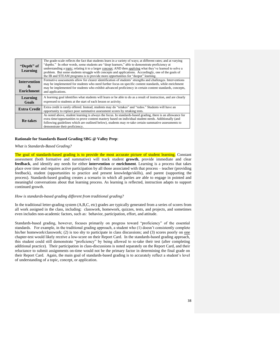| "Depth" of<br>Learning                        | The grade-scale reflects the fact that students learn in a variety of ways; at different rates; and at varying<br>"depths." In other words, some students are "deep learners," able to demonstrate proficiency at<br>understanding a topic; relating it to a larger concept; AND then applying what they've learned to solve a<br>problem. But some students struggle with concepts and applications. Accordingly, one of the goals of<br>the IB and STEAM programs is to provide more opportunities for "deeper" learning. |  |
|-----------------------------------------------|-----------------------------------------------------------------------------------------------------------------------------------------------------------------------------------------------------------------------------------------------------------------------------------------------------------------------------------------------------------------------------------------------------------------------------------------------------------------------------------------------------------------------------|--|
| <b>Intervention</b><br>&<br><b>Enrichment</b> | Formative assessments allow for clearer identification of students' strengths and challenges. Interventions<br>may be implemented for students who need further focus on specific content standards, while enrichment<br>may be implemented for students who exhibit advanced proficiency in certain content standards, concepts,<br>and applications.                                                                                                                                                                      |  |
| Learning<br>Goals                             | A learning goal identifies what students will learn or be able to do as a result of instruction, and are clearly<br>expressed to students at the start of each lesson or activity.                                                                                                                                                                                                                                                                                                                                          |  |
| <b>Extra Credit</b>                           | Extra credit is rarely offered. Instead, students may do "retakes" and "redos." Students will have an<br>opportunity to replace poor summative assessment scores by retaking tests.                                                                                                                                                                                                                                                                                                                                         |  |
| <b>Re-takes</b>                               | As noted above, student learning is always the focus. In standards-based grading, there is an allowance for<br>extra time/opportunities to prove content mastery based on individual student needs. Additionally (and<br>following guidelines which are outlined below), students may re-take certain summative assessments to<br>demonstrate their proficiency.                                                                                                                                                            |  |

#### **Rationale for Standards Based Grading SBG @ Valley Prep**:

#### *What is Standards-Based Grading?*

The goal of standards-based grading is to provide the most accurate picture of student learning. Constant assessment (both formative and summative) will track student **growth**, provide immediate and clear **feedback**, and identify any needs for either **intervention** or **enrichment**. Learning is a process that takes place over time and requires active participation by all those associated with that process – teacher (providing feedback), student (opportunities to practice and present knowledge/skills), and parent (supporting the process). Standards-based grading creates a scenario in which all parties are able to engage in pointed and meaningful conversations about that learning process. As learning is reflected, instruction adapts to support continued growth.

#### *How is standards-based grading different from traditional grading?*

In the traditional letter-grading system (A,B,C, etc) grades are typically generated from a series of scores from all work assigned in the class, including: classwork, homework, quizzes, tests, and projects, and sometimes even includes non-academic factors, such as: behavior, participation, effort, and attitude.

Standards-based grading, however, focuses primarily on progress toward "proficiency" of the essential standards. For example, in the traditional grading approach, a student who (1) doesn't consistently complete his/her homework/classwork; (2) is too shy to participate in class discussions; and (3) scores poorly on one chapter-test would likely receive a low-score on their Report Card. In the standards-based grading approach, this student could still demonstrate "proficiency" by being allowed to re-take their test (after completing additional practice). Their participation in class-discussions is noted separately on the Report Card, and their reluctance to submit assignments on-time would not be the primary factor in determining the final grade on their Report Card. Again, the main goal of standards-based grading is to accurately reflect a student's level of understanding of a topic, concept, or application.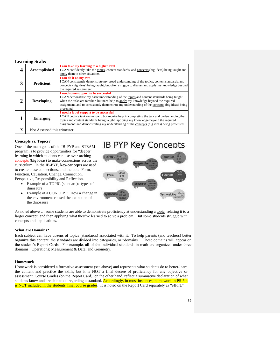#### **Learning Scale:**

| Accomplished                | I can take my learning to a higher level<br>I CAN confidently take the topics, content standards, and concepts (big ideas) being taught and<br>apply them to other situations.                                                                                                                                                            |
|-----------------------------|-------------------------------------------------------------------------------------------------------------------------------------------------------------------------------------------------------------------------------------------------------------------------------------------------------------------------------------------|
| <b>Proficient</b>           | I can do it on my own<br>I CAN consistently demonstrate my broad understanding of the topics, content standards, and<br>concepts (big ideas) being taught, but often struggle to discuss and apply my knowledge beyond<br>the required assignment.                                                                                        |
| <b>Developing</b>           | I need some support to be successful<br>I CAN demonstrate my basic understanding of the topics and content standards being taught<br>when the tasks are familiar, but need help to apply my knowledge beyond the required<br>assignment, and to consistently demonstrate my understanding of the concepts (big ideas) being<br>presented. |
| Emerging                    | I need a lot of support to be successful<br>I CAN begin a task on my own, but require help in completing the task and understanding the<br>topics and content standards being taught; applying my knowledge beyond the required<br>assignment; and demonstrating my understanding of the concepts (big ideas) being presented.            |
| Not Assessed this trimester |                                                                                                                                                                                                                                                                                                                                           |

#### **Concepts vs. Topics?**

One of the main goals of the IB-PYP and STEAM program is to provide opportunities for "deeper" learning in which students can use over-arching concepts (big ideas) to make connections across the curriculum. In the IB-PYP, **key-concepts** are used to create these connections, and include: Form, Function, Causation, Change, Connection, Perspective, Responsibility and Reflection.

- Example of a TOPIC (standard): types of dinosaurs
- Example of a CONCEPT: How a change in the environment caused the extinction of the dinosaurs



As noted above ... some students are able to demonstrate proficiency at understanding a topic; relating it to a larger concept; and then applying what they've learned to solve a problem. But some students struggle with concepts and applications.

#### **What are Domains?**

Each subject can have dozens of topics (standards) associated with it. To help parents (and teachers) better organize this content, the standards are divided into categories, or "domains." These domains will appear on the student's Report Cards. For example, all of the individual standards in math are organized under three domains: Operations; Measurement & Data; and Geometry.

#### **Homework**

Homework is considered a formative assessment (see above) and represents what students do to better-learn the content and practice the skills, but it is NOT a final decree of proficiency for any objective or assessment. Course Grades (on the Report Card), on the other hand, reflect a summative declaration of what students know and are able to do regarding a standard. Accordingly, in most instances, homework in PS-5th is NOT included in the students' final course grades. It is noted on the Report Card separately as "effort."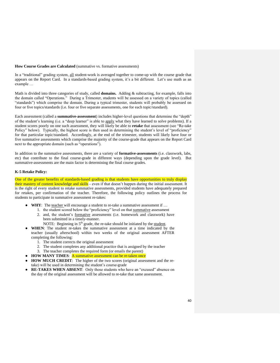#### **How Course Grades are Calculated** (summative vs. formative assessments)

In a "traditional" grading system, all student-work is averaged together to come-up with the course grade that appears on the Report Card. In a standards-based grading system, it's a bit different. Let's use math as an example …

Math is divided into three categories of study, called **domains.** Adding & subtracting, for example, falls into the domain called "Operations." During a Trimester, students will be assessed on a variety of topics (called "standards") which comprise the domain. During a typical trimester, students will probably be assessed on four or five topics/standards (i.e. four or five separate assessments, one for each topic/standard).

Each assessment (called a **summative-assessment**) includes higher-level questions that determine the "depth" of the student's learning (i.e. a "deep learner" is able to apply what they have learned to solve problems). If a student scores poorly on one such assessment, they will likely be able to **retake** that assessment (see "Re-take Policy" below). Typically, the highest score is then used in determining the student's level of "proficiency" for that particular topic/standard. Accordingly, at the end of the trimester, students will likely have four or five summative assessments which comprise the majority of the course-grade that appears on the Report Card next to the appropriate domain (such as "operations").

In addition to the summative assessments, there are a variety of **formative-assessments** (i.e. classwork, labs, etc) that contribute to the final course-grade in different ways (depending upon the grade level). But summative-assessments are the main factor is determining the final course grades.

#### **K-5 Retake Policy:**

One of the greater benefits of standards-based grading is that students have opportunities to truly display their mastery of content knowledge and skills - even if that doesn't happen during the initial assessment. It is the right of every student to retake summative assessments, provided students have adequately prepared for retakes, per confirmation of the teacher. Therefore, the following policy outlines the process for students to participate in summative assessment re-takes:

- **WHY**: The teacher will encourage a student to re-take a summative assessment if …
	- 1. the student scored below the "proficiency" level on that summative assessment
	- 2. and, the student's formative assessments (i.e. homework and classwork) have been submitted in a timely-manner.
		- NOTE: Beginning in 5<sup>th</sup> grade, the re-take should be initiated by the student.
- **WHEN**: The student re-takes the summative assessment at a time indicated by the teacher (usually afterschool) within two weeks of the original assessment AFTER completing the following:
	- 1. The student corrects the original assessment
	- 2. The student completes any additional practice that is assigned by the teacher
	- 3. The teacher completes the required form (or emails the parent)
- **HOW MANY TIMES:** A summative assessment can be re-taken once
- **HOW MUCH CREDIT:** The higher of the two scores (original assessment and the retake) will be used in determining the student's course-grade
- RE-TAKES WHEN ABSENT: Only those students who have an "excused" absence on the day of the original assessment will be allowed to re-take that same assessment.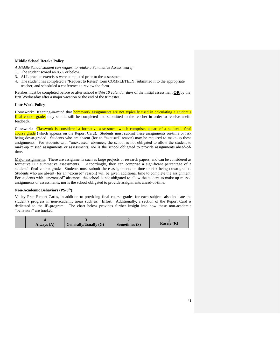#### **Middle School Retake Policy**

*A Middle School student can request to retake a Summative Assessment if:*

- 1. The student scored an 85% or below.
- 3. ALL practice exercises were completed prior to the assessment
- 4. The student has completed a "Request to Retest" form COMPLETELY, submitted it to the appropriate teacher, and scheduled a conference to review the form.

Retakes must be completed before or after school *within 10 calendar days* of the initial assessment **OR** by the first Wednesday after a major vacation or the end of the trimester.

#### **Late Work Policy**

Homework: Keeping-in-mind that **homework assignments are not typically used in calculating a student's** final course grade, they should still be completed and submitted to the teacher in order to receive useful feedback.

Classwork: Classwork is considered a formative assessment which comprises a part of a student's final course grade (which appears on the Report Card). Students must submit these assignments on-time or risk being down-graded. Students who are absent (for an "excused" reason) may be required to make-up these assignments. For students with "unexcused" absences, the school is not obligated to allow the student to make-up missed assignments or assessments, nor is the school obligated to provide assignments ahead-oftime.

Major assignments: These are assignments such as large projects or research papers, and can be considered as formative OR summative assessments. Accordingly, they can comprise a significant percentage of a student's final course grade. Students must submit these assignments on-time or risk being down-graded. Students who are absent (for an "excused" reason) will be given additional time to complete the assignment. For students with "unexcused" absences, the school is not obligated to allow the student to make-up missed assignments or assessments, nor is the school obligated to provide assignments ahead-of-time.

#### **Non-Academic Behaviors (PS-8 th):**

Valley Prep Report Cards, in addition to providing final course grades for each subject, also indicate the student's progress in non-academic areas such as: Effort. Additionally, a section of the Report Card is dedicated to the IB-program. The chart below provides further insight into how these non-academic "behaviors" are tracked.

| Always $(A)$ | <b>Generally/Usually (G)</b> | Sometimes (S) | Rarely $(R)$ |
|--------------|------------------------------|---------------|--------------|